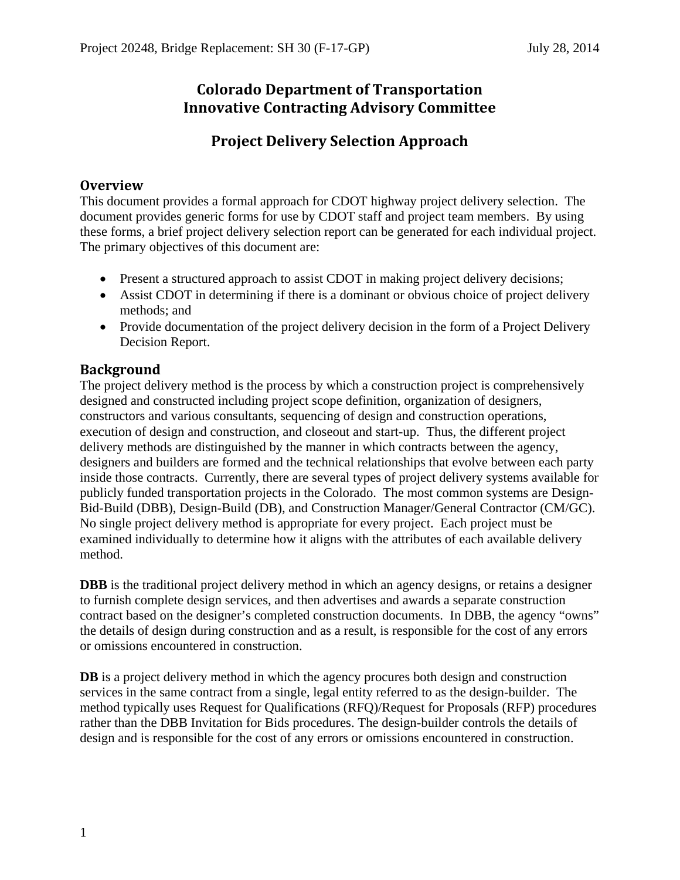# **Colorado Department of Transportation Innovative Contracting Advisory Committee**

# **Project Delivery Selection Approach**

## **Overview**

This document provides a formal approach for CDOT highway project delivery selection. The document provides generic forms for use by CDOT staff and project team members. By using these forms, a brief project delivery selection report can be generated for each individual project. The primary objectives of this document are:

- Present a structured approach to assist CDOT in making project delivery decisions;
- Assist CDOT in determining if there is a dominant or obvious choice of project delivery methods; and
- Provide documentation of the project delivery decision in the form of a Project Delivery Decision Report.

## **Background**

The project delivery method is the process by which a construction project is comprehensively designed and constructed including project scope definition, organization of designers, constructors and various consultants, sequencing of design and construction operations, execution of design and construction, and closeout and start-up. Thus, the different project delivery methods are distinguished by the manner in which contracts between the agency, designers and builders are formed and the technical relationships that evolve between each party inside those contracts. Currently, there are several types of project delivery systems available for publicly funded transportation projects in the Colorado. The most common systems are Design-Bid-Build (DBB), Design-Build (DB), and Construction Manager/General Contractor (CM/GC). No single project delivery method is appropriate for every project. Each project must be examined individually to determine how it aligns with the attributes of each available delivery method.

**DBB** is the traditional project delivery method in which an agency designs, or retains a designer to furnish complete design services, and then advertises and awards a separate construction contract based on the designer's completed construction documents. In DBB, the agency "owns" the details of design during construction and as a result, is responsible for the cost of any errors or omissions encountered in construction.

**DB** is a project delivery method in which the agency procures both design and construction services in the same contract from a single, legal entity referred to as the design-builder. The method typically uses Request for Qualifications (RFQ)/Request for Proposals (RFP) procedures rather than the DBB Invitation for Bids procedures. The design-builder controls the details of design and is responsible for the cost of any errors or omissions encountered in construction.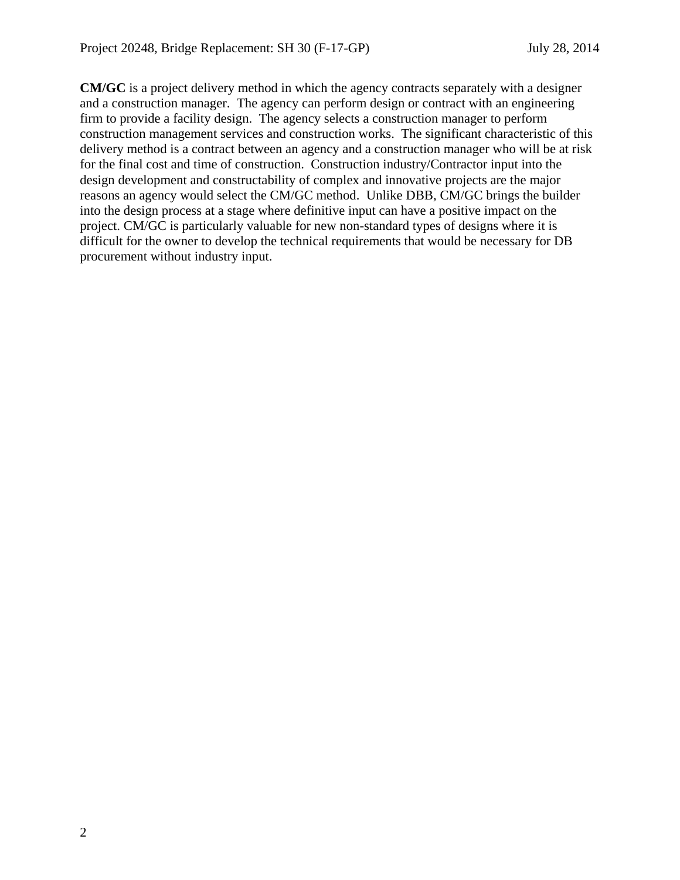**CM/GC** is a project delivery method in which the agency contracts separately with a designer and a construction manager. The agency can perform design or contract with an engineering firm to provide a facility design. The agency selects a construction manager to perform construction management services and construction works. The significant characteristic of this delivery method is a contract between an agency and a construction manager who will be at risk for the final cost and time of construction. Construction industry/Contractor input into the design development and constructability of complex and innovative projects are the major reasons an agency would select the CM/GC method. Unlike DBB, CM/GC brings the builder into the design process at a stage where definitive input can have a positive impact on the project. CM/GC is particularly valuable for new non-standard types of designs where it is difficult for the owner to develop the technical requirements that would be necessary for DB procurement without industry input.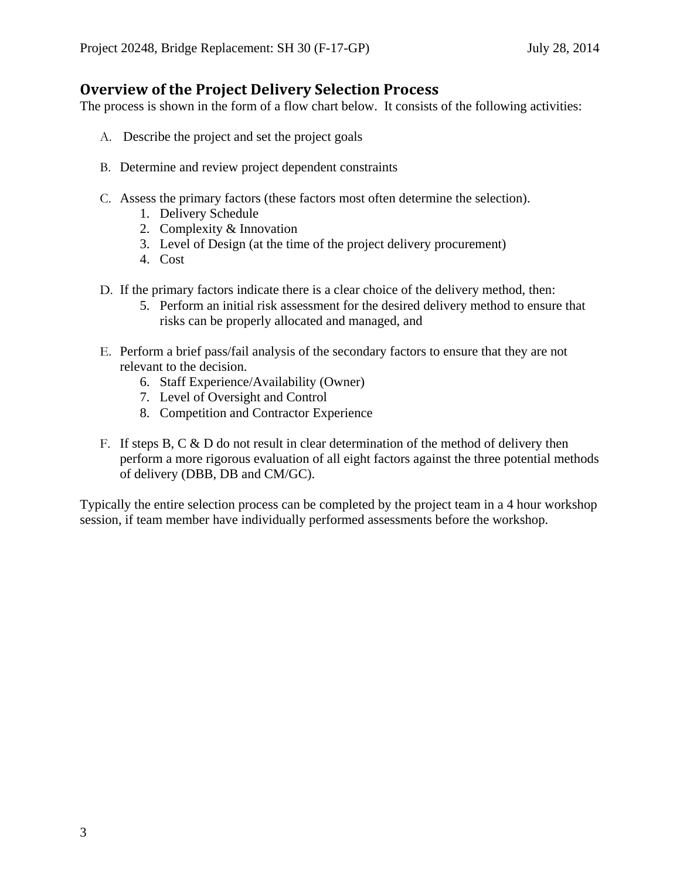# **Overview of the Project Delivery Selection Process**

The process is shown in the form of a flow chart below. It consists of the following activities:

- A. Describe the project and set the project goals
- B. Determine and review project dependent constraints
- C. Assess the primary factors (these factors most often determine the selection).
	- 1. Delivery Schedule
	- 2. Complexity & Innovation
	- 3. Level of Design (at the time of the project delivery procurement)
	- 4. Cost
- D. If the primary factors indicate there is a clear choice of the delivery method, then:
	- 5. Perform an initial risk assessment for the desired delivery method to ensure that risks can be properly allocated and managed, and
- E. Perform a brief pass/fail analysis of the secondary factors to ensure that they are not relevant to the decision.
	- 6. Staff Experience/Availability (Owner)
	- 7. Level of Oversight and Control
	- 8. Competition and Contractor Experience
- F. If steps B, C  $\&$  D do not result in clear determination of the method of delivery then perform a more rigorous evaluation of all eight factors against the three potential methods of delivery (DBB, DB and CM/GC).

Typically the entire selection process can be completed by the project team in a 4 hour workshop session, if team member have individually performed assessments before the workshop.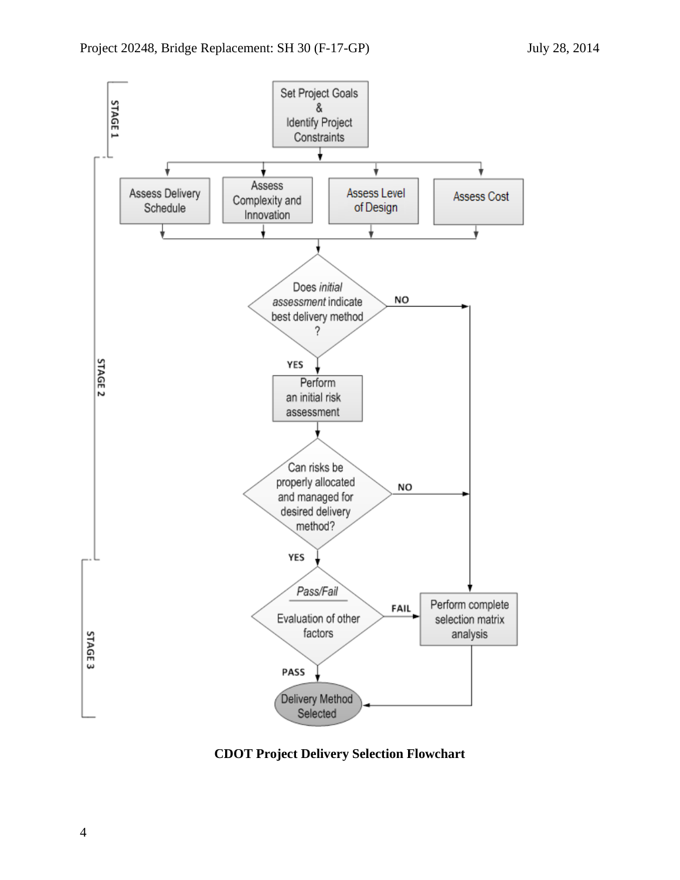

**CDOT Project Delivery Selection Flowchart**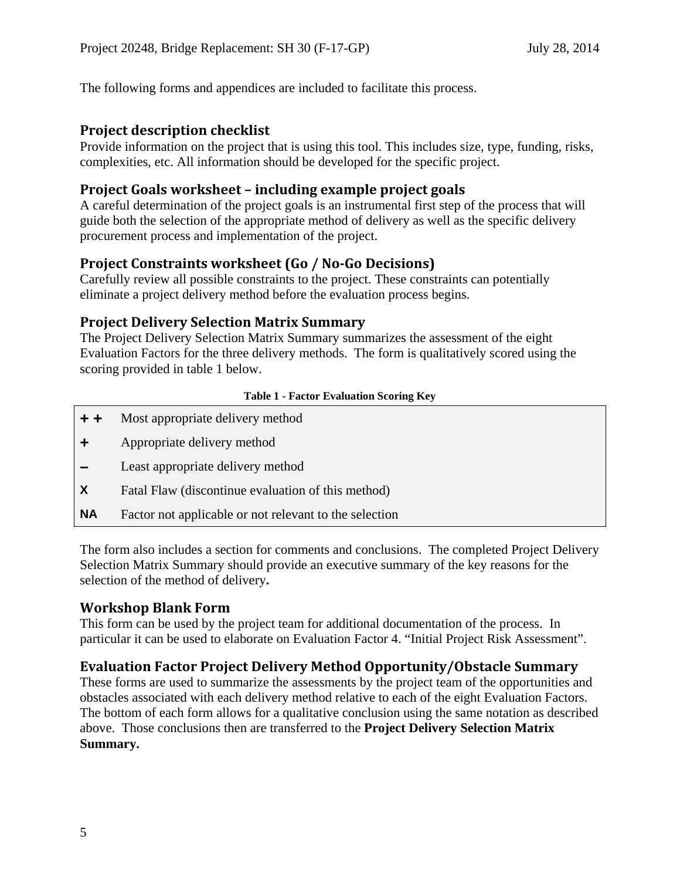The following forms and appendices are included to facilitate this process.

# **Project description checklist**

Provide information on the project that is using this tool. This includes size, type, funding, risks, complexities, etc. All information should be developed for the specific project.

# **Project Goals worksheet – including example project goals**

A careful determination of the project goals is an instrumental first step of the process that will guide both the selection of the appropriate method of delivery as well as the specific delivery procurement process and implementation of the project.

# **Project Constraints worksheet (Go / No‐Go Decisions)**

Carefully review all possible constraints to the project. These constraints can potentially eliminate a project delivery method before the evaluation process begins.

# **Project Delivery Selection Matrix Summary**

The Project Delivery Selection Matrix Summary summarizes the assessment of the eight Evaluation Factors for the three delivery methods. The form is qualitatively scored using the scoring provided in table 1 below.

## **Table 1 - Factor Evaluation Scoring Key**

- **+ +** Most appropriate delivery method
- **+** Appropriate delivery method
- **–** Least appropriate delivery method
- **X** Fatal Flaw (discontinue evaluation of this method)
- **NA** Factor not applicable or not relevant to the selection

The form also includes a section for comments and conclusions.The completed Project Delivery Selection Matrix Summary should provide an executive summary of the key reasons for the selection of the method of delivery**.** 

## **Workshop Blank Form**

This form can be used by the project team for additional documentation of the process. In particular it can be used to elaborate on Evaluation Factor 4. "Initial Project Risk Assessment".

# **Evaluation Factor Project Delivery Method Opportunity/Obstacle Summary**

These forms are used to summarize the assessments by the project team of the opportunities and obstacles associated with each delivery method relative to each of the eight Evaluation Factors. The bottom of each form allows for a qualitative conclusion using the same notation as described above. Those conclusions then are transferred to the **Project Delivery Selection Matrix Summary.**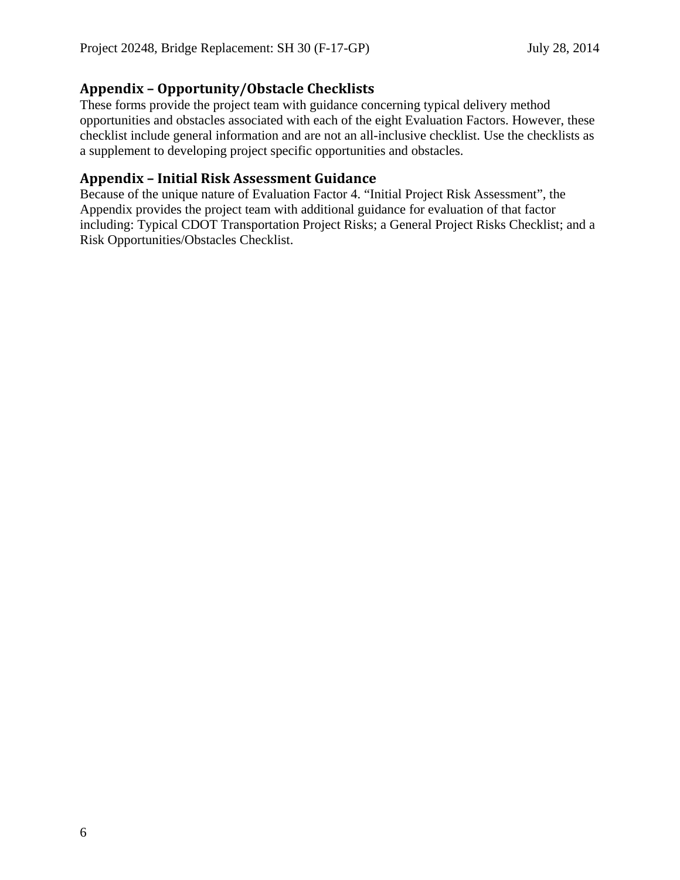# **Appendix – Opportunity/Obstacle Checklists**

These forms provide the project team with guidance concerning typical delivery method opportunities and obstacles associated with each of the eight Evaluation Factors. However, these checklist include general information and are not an all-inclusive checklist. Use the checklists as a supplement to developing project specific opportunities and obstacles.

# **Appendix – Initial Risk Assessment Guidance**

Because of the unique nature of Evaluation Factor 4. "Initial Project Risk Assessment", the Appendix provides the project team with additional guidance for evaluation of that factor including: Typical CDOT Transportation Project Risks; a General Project Risks Checklist; and a Risk Opportunities/Obstacles Checklist.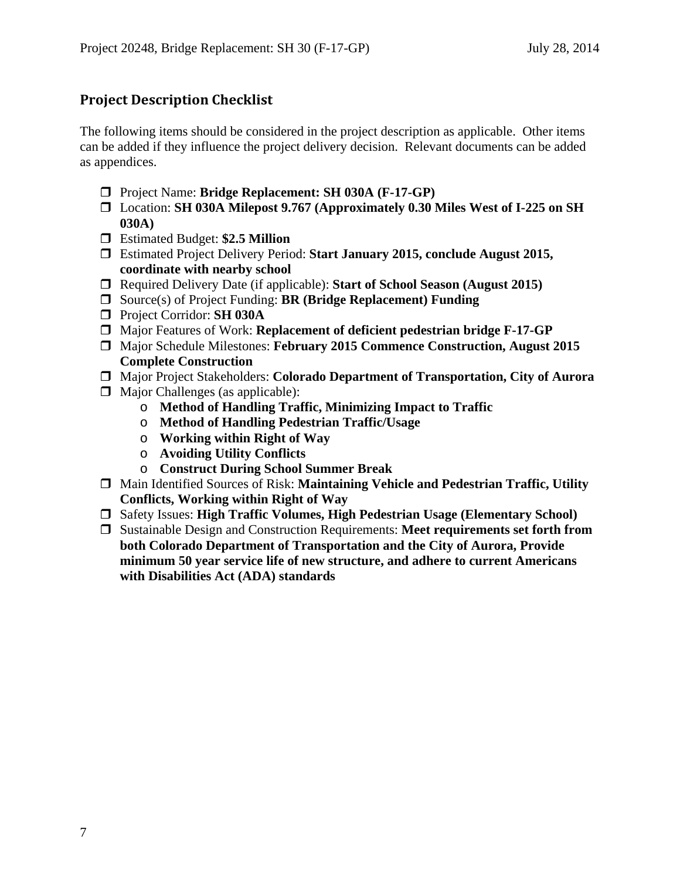# **Project Description Checklist**

The following items should be considered in the project description as applicable. Other items can be added if they influence the project delivery decision. Relevant documents can be added as appendices.

- Project Name: **Bridge Replacement: SH 030A (F-17-GP)**
- Location: **SH 030A Milepost 9.767 (Approximately 0.30 Miles West of I-225 on SH 030A)**
- Estimated Budget: **\$2.5 Million**
- Estimated Project Delivery Period: **Start January 2015, conclude August 2015, coordinate with nearby school**
- Required Delivery Date (if applicable): **Start of School Season (August 2015)**
- Source(s) of Project Funding: **BR (Bridge Replacement) Funding**
- Project Corridor: **SH 030A**
- Major Features of Work: **Replacement of deficient pedestrian bridge F-17-GP**
- Major Schedule Milestones: **February 2015 Commence Construction, August 2015 Complete Construction**
- Major Project Stakeholders: **Colorado Department of Transportation, City of Aurora**
- $\Box$  Major Challenges (as applicable):
	- o **Method of Handling Traffic, Minimizing Impact to Traffic**
	- o **Method of Handling Pedestrian Traffic/Usage**
	- o **Working within Right of Way**
	- o **Avoiding Utility Conflicts**
	- o **Construct During School Summer Break**
- Main Identified Sources of Risk: **Maintaining Vehicle and Pedestrian Traffic, Utility Conflicts, Working within Right of Way**
- Safety Issues: **High Traffic Volumes, High Pedestrian Usage (Elementary School)**
- Sustainable Design and Construction Requirements: **Meet requirements set forth from both Colorado Department of Transportation and the City of Aurora, Provide minimum 50 year service life of new structure, and adhere to current Americans with Disabilities Act (ADA) standards**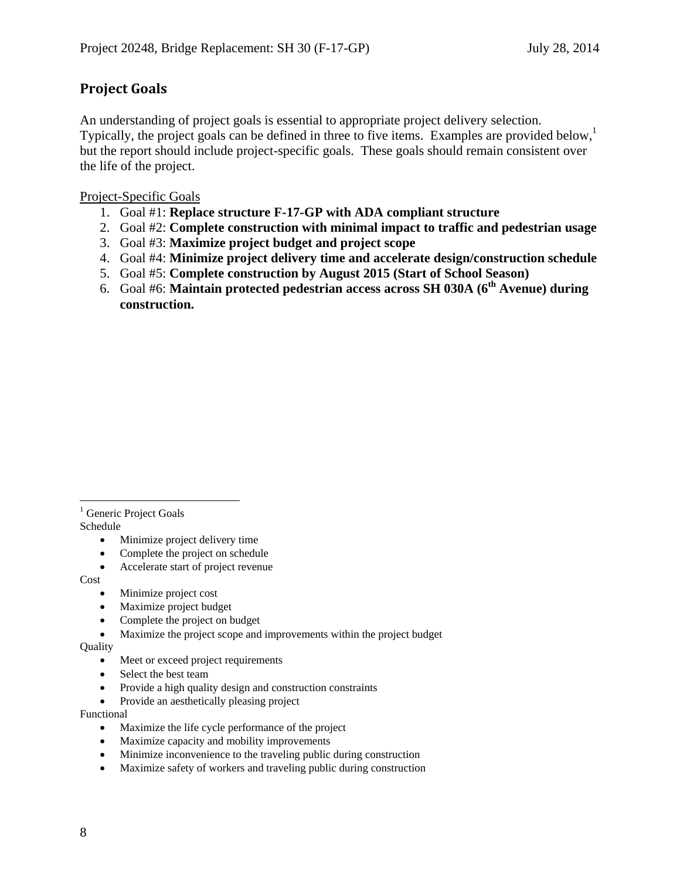# **Project Goals**

An understanding of project goals is essential to appropriate project delivery selection. Typically, the project goals can be defined in three to five items. Examples are provided below, but the report should include project-specific goals. These goals should remain consistent over the life of the project.

Project-Specific Goals

- 1. Goal #1: **Replace structure F-17-GP with ADA compliant structure**
- 2. Goal #2: **Complete construction with minimal impact to traffic and pedestrian usage**
- 3. Goal #3: **Maximize project budget and project scope**
- 4. Goal #4: **Minimize project delivery time and accelerate design/construction schedule**
- 5. Goal #5: **Complete construction by August 2015 (Start of School Season)**
- 6. Goal #6: **Maintain protected pedestrian access across SH 030A (6th Avenue) during construction.**

 $\overline{a}$ <sup>1</sup> Generic Project Goals Schedule

- Minimize project delivery time
- Complete the project on schedule
- Accelerate start of project revenue

Cost

- Minimize project cost
- Maximize project budget
- Complete the project on budget
- Maximize the project scope and improvements within the project budget

Quality

- Meet or exceed project requirements
- Select the best team
- Provide a high quality design and construction constraints
- Provide an aesthetically pleasing project

Functional

- Maximize the life cycle performance of the project
- Maximize capacity and mobility improvements
- Minimize inconvenience to the traveling public during construction
- Maximize safety of workers and traveling public during construction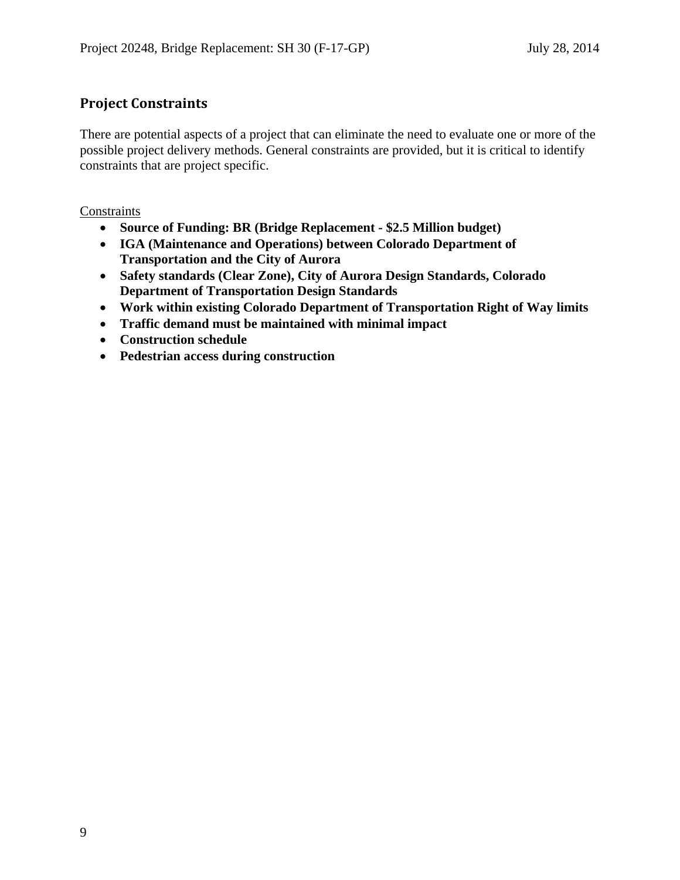# **Project Constraints**

There are potential aspects of a project that can eliminate the need to evaluate one or more of the possible project delivery methods. General constraints are provided, but it is critical to identify constraints that are project specific.

**Constraints** 

- **Source of Funding: BR (Bridge Replacement \$2.5 Million budget)**
- **IGA (Maintenance and Operations) between Colorado Department of Transportation and the City of Aurora**
- **Safety standards (Clear Zone), City of Aurora Design Standards, Colorado Department of Transportation Design Standards**
- **Work within existing Colorado Department of Transportation Right of Way limits**
- **Traffic demand must be maintained with minimal impact**
- **Construction schedule**
- **Pedestrian access during construction**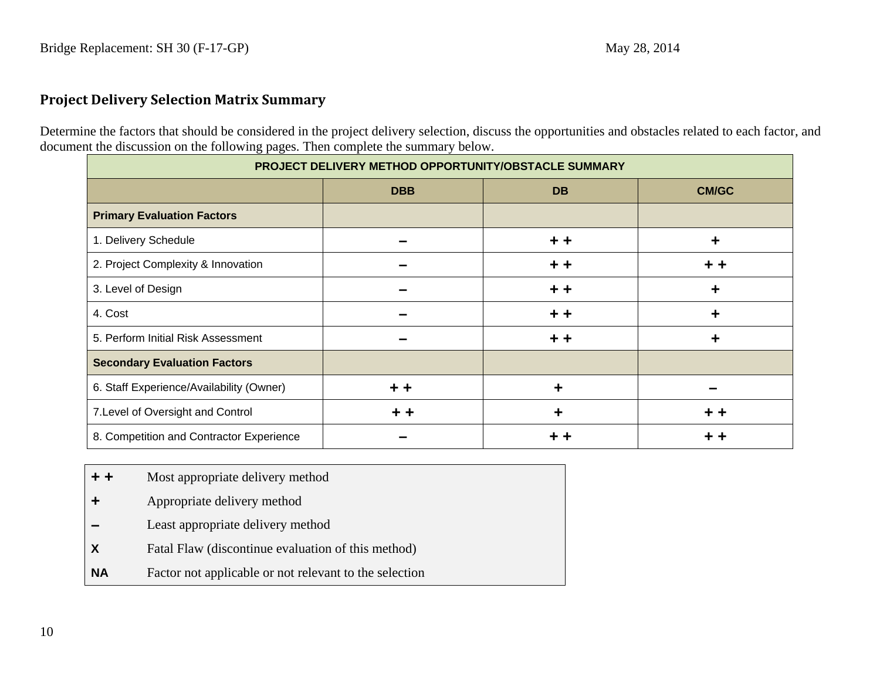# **Project Delivery Selection Matrix Summary**

Determine the factors that should be considered in the project delivery selection, discuss the opportunities and obstacles related to each factor, and document the discussion on the following pages. Then complete the summary below.

| PROJECT DELIVERY METHOD OPPORTUNITY/OBSTACLE SUMMARY |            |           |              |
|------------------------------------------------------|------------|-----------|--------------|
|                                                      | <b>DBB</b> | <b>DB</b> | <b>CM/GC</b> |
| <b>Primary Evaluation Factors</b>                    |            |           |              |
| 1. Delivery Schedule                                 |            | + +       | ╈            |
| 2. Project Complexity & Innovation                   |            | + +       |              |
| 3. Level of Design                                   |            | + +       | ╈            |
| 4. Cost                                              |            | + +       | ╈            |
| 5. Perform Initial Risk Assessment                   |            | + +       | ╈            |
| <b>Secondary Evaluation Factors</b>                  |            |           |              |
| 6. Staff Experience/Availability (Owner)             | + +        |           |              |
| 7. Level of Oversight and Control                    | + +        | ÷         | + +          |
| 8. Competition and Contractor Experience             |            |           |              |

- **+ +**Most appropriate delivery method
- **<sup>+</sup>**Appropriate delivery method
- **–**Least appropriate delivery method
- **X** Fatal Flaw (discontinue evaluation of this method)
- **NA**Factor not applicable or not relevant to the selection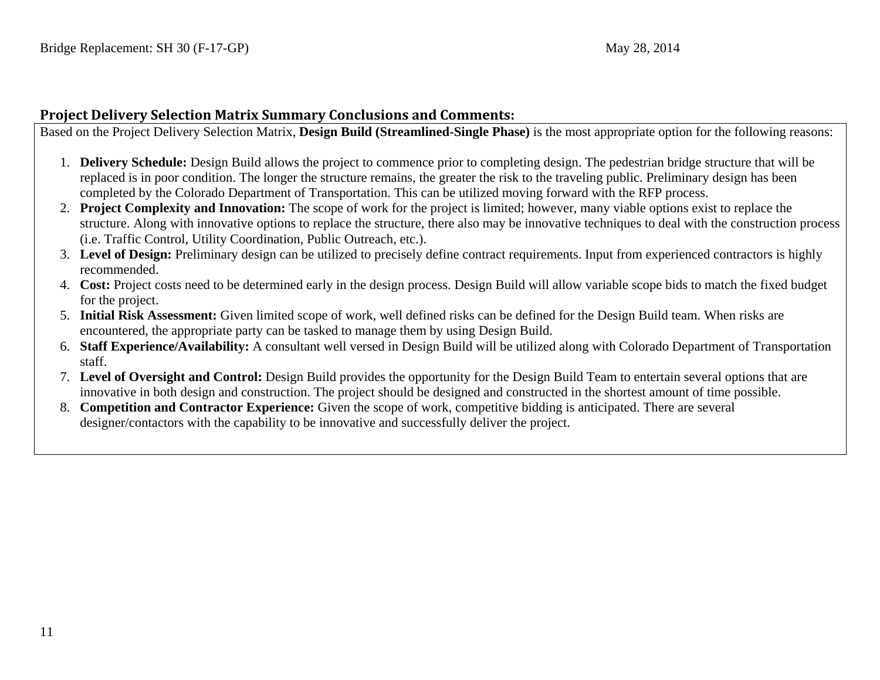## **Project Delivery Selection Matrix Summary Conclusions and Comments:**

Based on the Project Delivery Selection Matrix, **Design Build (Streamlined-Single Phase)** is the most appropriate option for the following reasons:

- 1. **Delivery Schedule:** Design Build allows the project to commence prior to completing design. The pedestrian bridge structure that will be replaced is in poor condition. The longer the structure remains, the greater the risk to the traveling public. Preliminary design has been completed by the Colorado Department of Transportation. This can be utilized moving forward with the RFP process.
- 2. **Project Complexity and Innovation:** The scope of work for the project is limited; however, many viable options exist to replace the structure. Along with innovative options to replace the structure, there also may be innovative techniques to deal with the construction process (i.e. Traffic Control, Utility Coordination, Public Outreach, etc.).
- 3. **Level of Design:** Preliminary design can be utilized to precisely define contract requirements. Input from experienced contractors is highly recommended.
- 4. **Cost:** Project costs need to be determined early in the design process. Design Build will allow variable scope bids to match the fixed budget for the project.
- 5. **Initial Risk Assessment:** Given limited scope of work, well defined risks can be defined for the Design Build team. When risks are encountered, the appropriate party can be tasked to manage them by using Design Build.
- 6. **Staff Experience/Availability:** A consultant well versed in Design Build will be utilized along with Colorado Department of Transportation staff.
- 7. **Level of Oversight and Control:** Design Build provides the opportunity for the Design Build Team to entertain several options that are innovative in both design and construction. The project should be designed and constructed in the shortest amount of time possible.
- 8. **Competition and Contractor Experience:** Given the scope of work, competitive bidding is anticipated. There are several designer/contactors with the capability to be innovative and successfully deliver the project.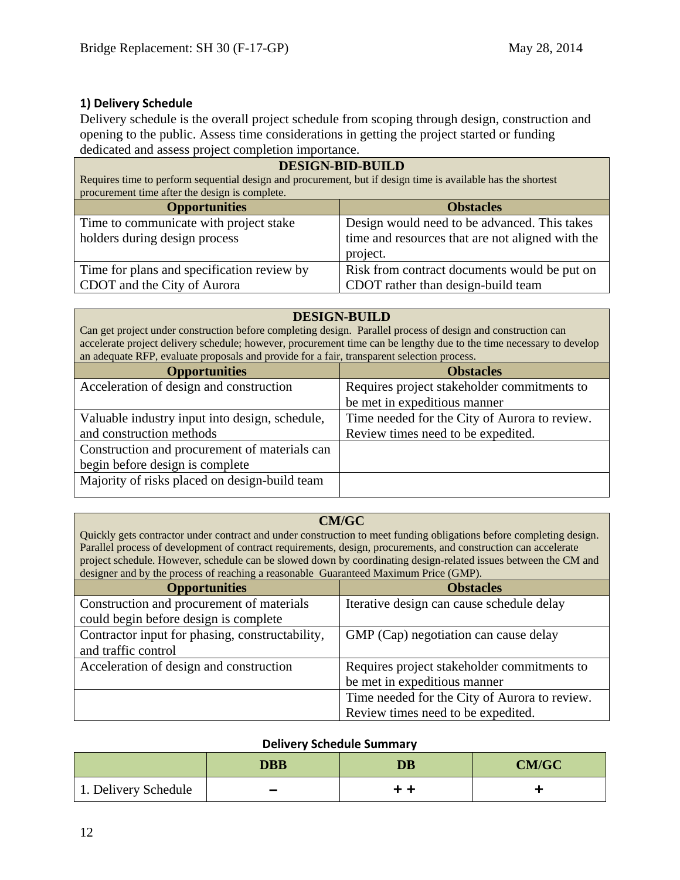## **1) Delivery Schedule**

Delivery schedule is the overall project schedule from scoping through design, construction and opening to the public. Assess time considerations in getting the project started or funding dedicated and assess project completion importance.

| <b>DESIGN-BID-BUILD</b><br>Requires time to perform sequential design and procurement, but if design time is available has the shortest<br>procurement time after the design is complete. |                                              |  |
|-------------------------------------------------------------------------------------------------------------------------------------------------------------------------------------------|----------------------------------------------|--|
| <b>Opportunities</b><br><b>Obstacles</b>                                                                                                                                                  |                                              |  |
| Time to communicate with project stake                                                                                                                                                    | Design would need to be advanced. This takes |  |
| holders during design process<br>time and resources that are not aligned with the                                                                                                         |                                              |  |
| project.                                                                                                                                                                                  |                                              |  |
| Time for plans and specification review by                                                                                                                                                | Risk from contract documents would be put on |  |
| CDOT and the City of Aurora<br>CDOT rather than design-build team                                                                                                                         |                                              |  |

#### **DESIGN-BUILD**

Can get project under construction before completing design. Parallel process of design and construction can accelerate project delivery schedule; however, procurement time can be lengthy due to the time necessary to develop an adequate RFP, evaluate proposals and provide for a fair, transparent selection process.

| <b>Opportunities</b>                           | <b>Obstacles</b>                              |
|------------------------------------------------|-----------------------------------------------|
| Acceleration of design and construction        | Requires project stakeholder commitments to   |
|                                                | be met in expeditious manner                  |
| Valuable industry input into design, schedule, | Time needed for the City of Aurora to review. |
| and construction methods                       | Review times need to be expedited.            |
| Construction and procurement of materials can  |                                               |
| begin before design is complete                |                                               |
| Majority of risks placed on design-build team  |                                               |

## **CM/GC**

Quickly gets contractor under contract and under construction to meet funding obligations before completing design. Parallel process of development of contract requirements, design, procurements, and construction can accelerate project schedule. However, schedule can be slowed down by coordinating design-related issues between the CM and designer and by the process of reaching a reasonable Guaranteed Maximum Price (GMP).

| <b>Opportunities</b>                            | <b>Obstacles</b>                              |
|-------------------------------------------------|-----------------------------------------------|
| Construction and procurement of materials       | Iterative design can cause schedule delay     |
| could begin before design is complete           |                                               |
| Contractor input for phasing, constructability, | GMP (Cap) negotiation can cause delay         |
| and traffic control                             |                                               |
| Acceleration of design and construction         | Requires project stakeholder commitments to   |
|                                                 | be met in expeditious manner                  |
|                                                 | Time needed for the City of Aurora to review. |
|                                                 | Review times need to be expedited.            |

#### **Delivery Schedule Summary**

|                      | <b>DBB</b> | <b>DB</b> | <b>CM/GC</b> |
|----------------------|------------|-----------|--------------|
| 1. Delivery Schedule | -          | . .       |              |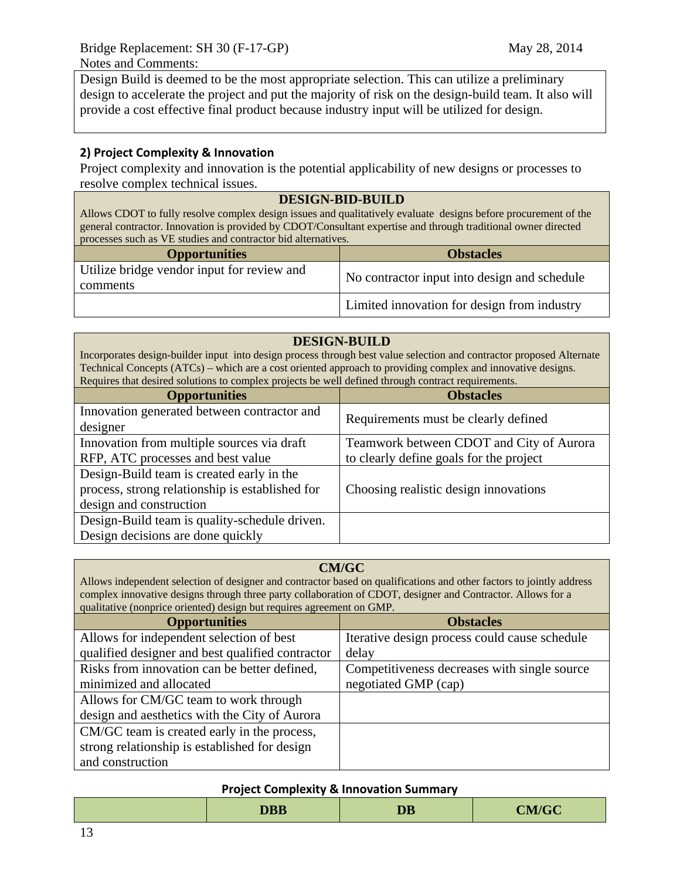Design Build is deemed to be the most appropriate selection. This can utilize a preliminary design to accelerate the project and put the majority of risk on the design-build team. It also will provide a cost effective final product because industry input will be utilized for design.

## **2) Project Complexity & Innovation**

Project complexity and innovation is the potential applicability of new designs or processes to resolve complex technical issues.

#### **DESIGN-BID-BUILD**

Allows CDOT to fully resolve complex design issues and qualitatively evaluate designs before procurement of the general contractor. Innovation is provided by CDOT/Consultant expertise and through traditional owner directed processes such as VE studies and contractor bid alternatives.

| <b>Opportunities</b>                                   | <b>Obstacles</b>                             |
|--------------------------------------------------------|----------------------------------------------|
| Utilize bridge vendor input for review and<br>comments | No contractor input into design and schedule |
|                                                        | Limited innovation for design from industry  |

#### **DESIGN-BUILD**

Incorporates design-builder input into design process through best value selection and contractor proposed Alternate Technical Concepts (ATCs) – which are a cost oriented approach to providing complex and innovative designs. Requires that desired solutions to complex projects be well defined through contract requirements.

| <b>Opportunities</b>                            | <b>Obstacles</b>                         |  |
|-------------------------------------------------|------------------------------------------|--|
| Innovation generated between contractor and     | Requirements must be clearly defined     |  |
| designer                                        |                                          |  |
| Innovation from multiple sources via draft      | Teamwork between CDOT and City of Aurora |  |
| RFP, ATC processes and best value               | to clearly define goals for the project  |  |
| Design-Build team is created early in the       |                                          |  |
| process, strong relationship is established for | Choosing realistic design innovations    |  |
| design and construction                         |                                          |  |
| Design-Build team is quality-schedule driven.   |                                          |  |
| Design decisions are done quickly               |                                          |  |

#### **CM/GC**

Allows independent selection of designer and contractor based on qualifications and other factors to jointly address complex innovative designs through three party collaboration of CDOT, designer and Contractor. Allows for a qualitative (nonprice oriented) design but requires agreement on GMP.

| <b>Opportunities</b>                             | <b>Obstacles</b>                              |
|--------------------------------------------------|-----------------------------------------------|
| Allows for independent selection of best         | Iterative design process could cause schedule |
| qualified designer and best qualified contractor | delay                                         |
| Risks from innovation can be better defined,     | Competitiveness decreases with single source  |
| minimized and allocated                          | negotiated GMP (cap)                          |
| Allows for CM/GC team to work through            |                                               |
| design and aesthetics with the City of Aurora    |                                               |
| CM/GC team is created early in the process,      |                                               |
| strong relationship is established for design    |                                               |
| and construction                                 |                                               |

#### **Project Complexity & Innovation Summary**

|  | <b>DBB</b> | <b>DB</b> | <b>CM/GC</b> |
|--|------------|-----------|--------------|
|--|------------|-----------|--------------|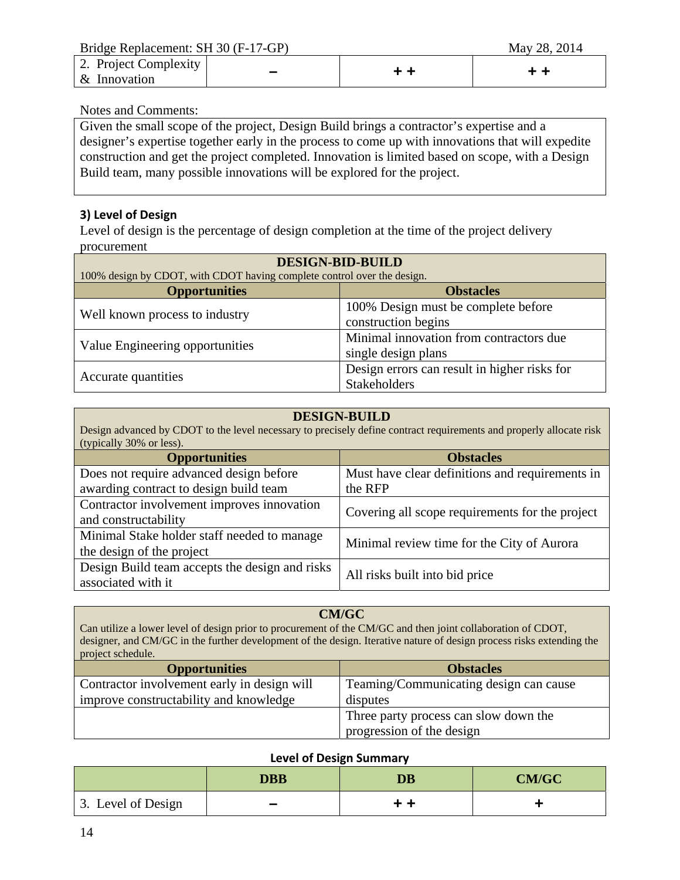Bridge Replacement: SH 30 (F-17-GP)May 28, 2014

| 2. Project Complexity<br>$\&$ Innovation |  |  |
|------------------------------------------|--|--|
|------------------------------------------|--|--|

#### Notes and Comments:

Given the small scope of the project, Design Build brings a contractor's expertise and a designer's expertise together early in the process to come up with innovations that will expedite construction and get the project completed. Innovation is limited based on scope, with a Design Build team, many possible innovations will be explored for the project.

## **3) Level of Design**

Level of design is the percentage of design completion at the time of the project delivery procurement

| <b>DESIGN-BID-BUILD</b>                                                 |                                              |  |
|-------------------------------------------------------------------------|----------------------------------------------|--|
| 100% design by CDOT, with CDOT having complete control over the design. |                                              |  |
| <b>Opportunities</b><br><b>Obstacles</b>                                |                                              |  |
| Well known process to industry                                          | 100% Design must be complete before          |  |
|                                                                         | construction begins                          |  |
|                                                                         | Minimal innovation from contractors due      |  |
| Value Engineering opportunities                                         | single design plans                          |  |
|                                                                         | Design errors can result in higher risks for |  |
| Accurate quantities                                                     | Stakeholders                                 |  |

#### **DESIGN-BUILD**

Design advanced by CDOT to the level necessary to precisely define contract requirements and properly allocate risk (typically 30% or less).

| <b>Opportunities</b>                           | <b>Obstacles</b>                                |  |
|------------------------------------------------|-------------------------------------------------|--|
| Does not require advanced design before        | Must have clear definitions and requirements in |  |
| awarding contract to design build team         | the RFP                                         |  |
| Contractor involvement improves innovation     | Covering all scope requirements for the project |  |
| and constructability                           |                                                 |  |
| Minimal Stake holder staff needed to manage    | Minimal review time for the City of Aurora      |  |
| the design of the project                      |                                                 |  |
| Design Build team accepts the design and risks |                                                 |  |
| associated with it                             | All risks built into bid price                  |  |

#### **CM/GC**

Can utilize a lower level of design prior to procurement of the CM/GC and then joint collaboration of CDOT, designer, and CM/GC in the further development of the design. Iterative nature of design process risks extending the project schedule.

| <b>Opportunities</b>                        | <b>Obstacles</b>                       |
|---------------------------------------------|----------------------------------------|
| Contractor involvement early in design will | Teaming/Communicating design can cause |
| improve constructability and knowledge      | disputes                               |
|                                             | Three party process can slow down the  |
|                                             | progression of the design              |

#### **Level of Design Summary**

|                    | <b>DBB</b>               | <b>DB</b> | <b>CM/GC</b> |
|--------------------|--------------------------|-----------|--------------|
| 3. Level of Design | $\overline{\phantom{a}}$ | . .       |              |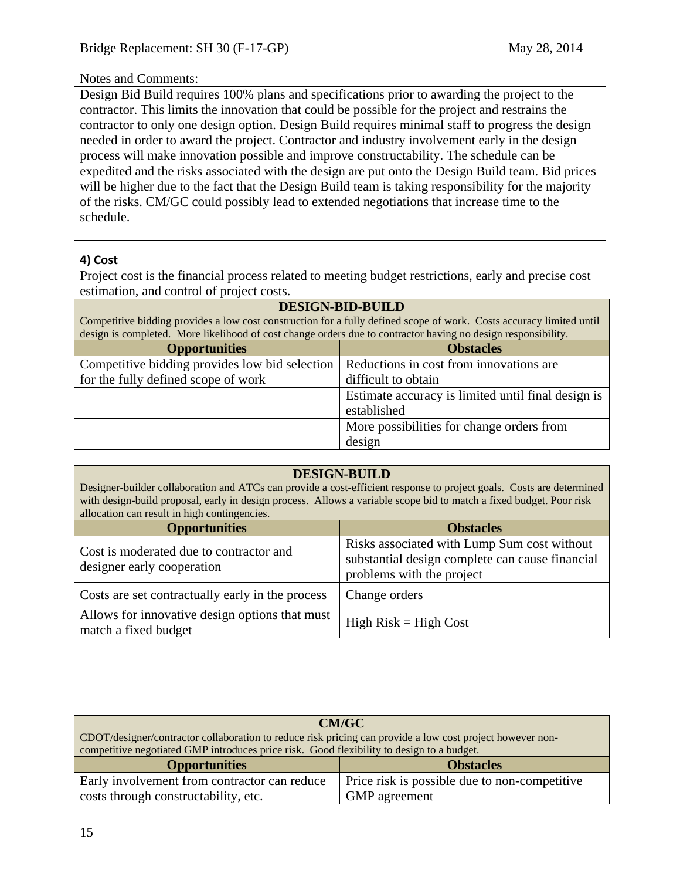## Notes and Comments:

Design Bid Build requires 100% plans and specifications prior to awarding the project to the contractor. This limits the innovation that could be possible for the project and restrains the contractor to only one design option. Design Build requires minimal staff to progress the design needed in order to award the project. Contractor and industry involvement early in the design process will make innovation possible and improve constructability. The schedule can be expedited and the risks associated with the design are put onto the Design Build team. Bid prices will be higher due to the fact that the Design Build team is taking responsibility for the majority of the risks. CM/GC could possibly lead to extended negotiations that increase time to the schedule.

## **4) Cost**

Project cost is the financial process related to meeting budget restrictions, early and precise cost estimation, and control of project costs.

| <b>DESIGN-BID-BUILD</b><br>Competitive bidding provides a low cost construction for a fully defined scope of work. Costs accuracy limited until<br>design is completed. More likelihood of cost change orders due to contractor having no design responsibility. |                                                                   |  |
|------------------------------------------------------------------------------------------------------------------------------------------------------------------------------------------------------------------------------------------------------------------|-------------------------------------------------------------------|--|
| <b>Obstacles</b><br><b>Opportunities</b>                                                                                                                                                                                                                         |                                                                   |  |
| Competitive bidding provides low bid selection                                                                                                                                                                                                                   | Reductions in cost from innovations are                           |  |
| for the fully defined scope of work<br>difficult to obtain                                                                                                                                                                                                       |                                                                   |  |
|                                                                                                                                                                                                                                                                  | Estimate accuracy is limited until final design is<br>established |  |
|                                                                                                                                                                                                                                                                  | More possibilities for change orders from                         |  |
|                                                                                                                                                                                                                                                                  | design                                                            |  |

| <b>DESIGN-BUILD</b><br>Designer-builder collaboration and ATCs can provide a cost-efficient response to project goals. Costs are determined<br>with design-build proposal, early in design process. Allows a variable scope bid to match a fixed budget. Poor risk<br>allocation can result in high contingencies. |                                                                                                                             |  |  |
|--------------------------------------------------------------------------------------------------------------------------------------------------------------------------------------------------------------------------------------------------------------------------------------------------------------------|-----------------------------------------------------------------------------------------------------------------------------|--|--|
| <b>Opportunities</b><br><b>Obstacles</b>                                                                                                                                                                                                                                                                           |                                                                                                                             |  |  |
| Cost is moderated due to contractor and<br>designer early cooperation                                                                                                                                                                                                                                              | Risks associated with Lump Sum cost without<br>substantial design complete can cause financial<br>problems with the project |  |  |
| Costs are set contractually early in the process                                                                                                                                                                                                                                                                   | Change orders                                                                                                               |  |  |
| Allows for innovative design options that must<br>$High Risk = High Cost$<br>match a fixed budget                                                                                                                                                                                                                  |                                                                                                                             |  |  |

| CM/GC                                                                                                     |                                               |  |  |
|-----------------------------------------------------------------------------------------------------------|-----------------------------------------------|--|--|
| CDOT/designer/contractor collaboration to reduce risk pricing can provide a low cost project however non- |                                               |  |  |
| competitive negotiated GMP introduces price risk. Good flexibility to design to a budget.                 |                                               |  |  |
| <b>Opportunities</b><br><b>Obstacles</b>                                                                  |                                               |  |  |
| Early involvement from contractor can reduce                                                              | Price risk is possible due to non-competitive |  |  |
| costs through constructability, etc.                                                                      | <b>GMP</b> agreement                          |  |  |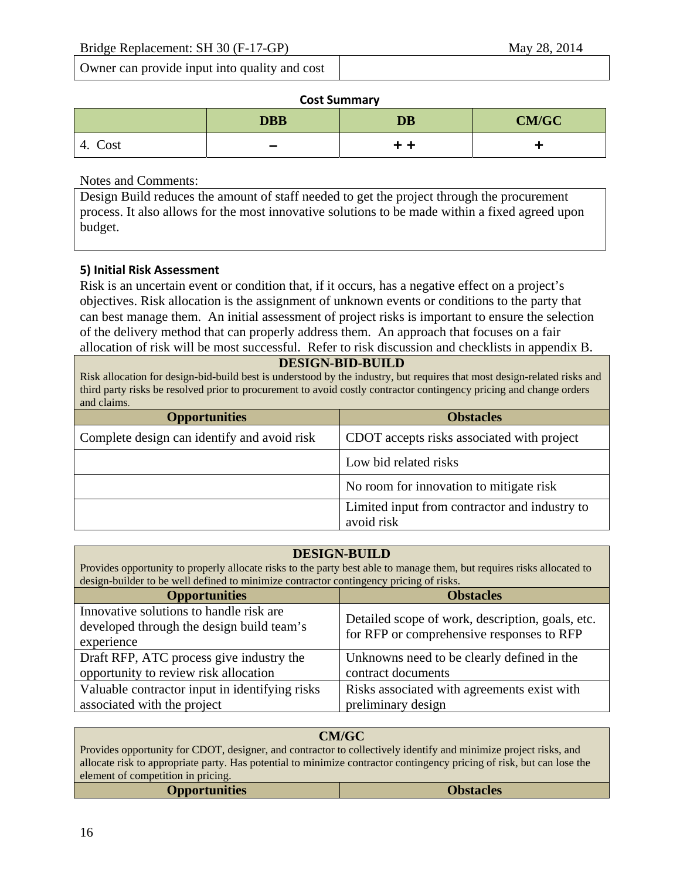Owner can provide input into quality and cost

#### **Cost Summary**

|            | <b>DBB</b> | <b>DB</b> | <b>CM/GC</b> |
|------------|------------|-----------|--------------|
| Cost<br>4. | -          | . .       |              |

Notes and Comments:

Design Build reduces the amount of staff needed to get the project through the procurement process. It also allows for the most innovative solutions to be made within a fixed agreed upon budget.

## **5) Initial Risk Assessment**

Risk is an uncertain event or condition that, if it occurs, has a negative effect on a project's objectives. Risk allocation is the assignment of unknown events or conditions to the party that can best manage them. An initial assessment of project risks is important to ensure the selection of the delivery method that can properly address them. An approach that focuses on a fair allocation of risk will be most successful. Refer to risk discussion and checklists in appendix B.

#### **DESIGN-BID-BUILD**

Risk allocation for design-bid-build best is understood by the industry, but requires that most design-related risks and third party risks be resolved prior to procurement to avoid costly contractor contingency pricing and change orders and claims.

| <b>Opportunities</b>                        | <b>Obstacles</b>                              |  |
|---------------------------------------------|-----------------------------------------------|--|
| Complete design can identify and avoid risk | CDOT accepts risks associated with project    |  |
|                                             | Low bid related risks                         |  |
|                                             | No room for innovation to mitigate risk       |  |
|                                             | Limited input from contractor and industry to |  |
|                                             | avoid risk                                    |  |

#### **DESIGN-BUILD**

Provides opportunity to properly allocate risks to the party best able to manage them, but requires risks allocated to design-builder to be well defined to minimize contractor contingency pricing of risks.

| <b>Opportunities</b>                                                                               | <b>Obstacles</b>                                                                              |
|----------------------------------------------------------------------------------------------------|-----------------------------------------------------------------------------------------------|
| Innovative solutions to handle risk are<br>developed through the design build team's<br>experience | Detailed scope of work, description, goals, etc.<br>for RFP or comprehensive responses to RFP |
| Draft RFP, ATC process give industry the                                                           | Unknowns need to be clearly defined in the                                                    |
| opportunity to review risk allocation                                                              | contract documents                                                                            |
| Valuable contractor input in identifying risks                                                     | Risks associated with agreements exist with                                                   |
| associated with the project                                                                        | preliminary design                                                                            |

#### **CM/GC**

Provides opportunity for CDOT, designer, and contractor to collectively identify and minimize project risks, and allocate risk to appropriate party. Has potential to minimize contractor contingency pricing of risk, but can lose the element of competition in pricing.

| <b>Opportunities</b> | <b>Obstacles</b> |
|----------------------|------------------|
|----------------------|------------------|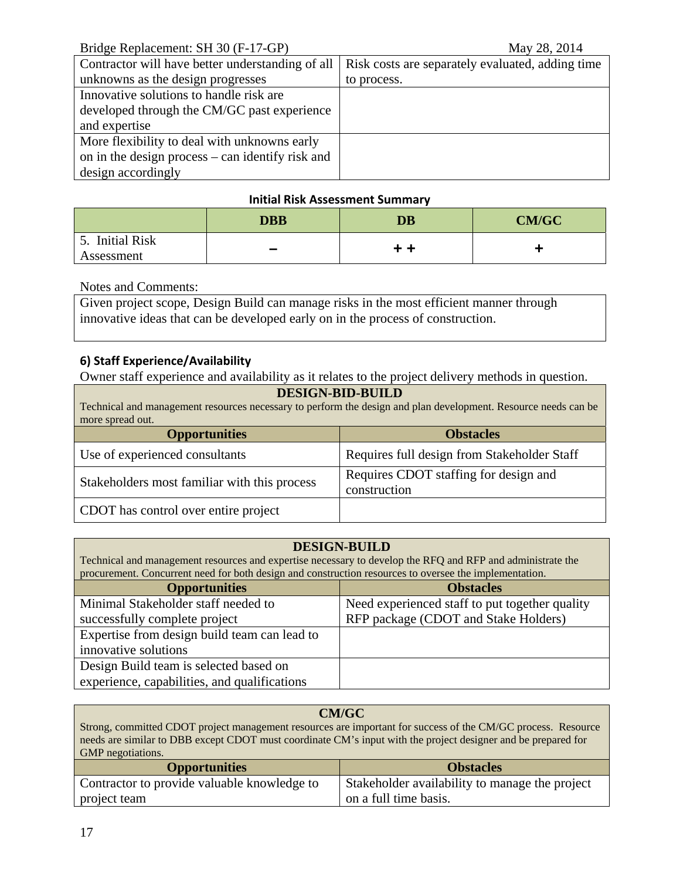| Bridge Replacement: SH 30 (F-17-GP) |  |
|-------------------------------------|--|
|-------------------------------------|--|

| Contractor will have better understanding of all | Risk costs are separately evaluated, adding time |
|--------------------------------------------------|--------------------------------------------------|
| unknowns as the design progresses                | to process.                                      |
| Innovative solutions to handle risk are.         |                                                  |
| developed through the CM/GC past experience      |                                                  |
| and expertise                                    |                                                  |
| More flexibility to deal with unknowns early     |                                                  |
| on in the design process – can identify risk and |                                                  |
| design accordingly                               |                                                  |

## **Initial Risk Assessment Summary**

|                | <b>DBB</b> | <b>DB</b> | <b>CM/GC</b> |
|----------------|------------|-----------|--------------|
| . Initial Risk |            |           |              |
| Assessment     | -          | . .       |              |

Notes and Comments:

Given project scope, Design Build can manage risks in the most efficient manner through innovative ideas that can be developed early on in the process of construction.

## **6) Staff Experience/Availability**

Owner staff experience and availability as it relates to the project delivery methods in question.

| <b>DESIGN-BID-BUILD</b>                                                                                        |                                                       |  |
|----------------------------------------------------------------------------------------------------------------|-------------------------------------------------------|--|
| Technical and management resources necessary to perform the design and plan development. Resource needs can be |                                                       |  |
| more spread out.                                                                                               |                                                       |  |
| <b>Opportunities</b>                                                                                           | <b>Obstacles</b>                                      |  |
| Use of experienced consultants                                                                                 | Requires full design from Stakeholder Staff           |  |
| Stakeholders most familiar with this process                                                                   | Requires CDOT staffing for design and<br>construction |  |
| CDOT has control over entire project                                                                           |                                                       |  |

## **DESIGN-BUILD**

Technical and management resources and expertise necessary to develop the RFQ and RFP and administrate the procurement. Concurrent need for both design and construction resources to oversee the implementation.

| <b>Opportunities</b>                         | <b>Obstacles</b>                               |
|----------------------------------------------|------------------------------------------------|
| Minimal Stakeholder staff needed to          | Need experienced staff to put together quality |
| successfully complete project                | RFP package (CDOT and Stake Holders)           |
| Expertise from design build team can lead to |                                                |
| innovative solutions                         |                                                |
| Design Build team is selected based on       |                                                |
| experience, capabilities, and qualifications |                                                |

| <b>CM/GC</b>                                                                                                  |                                                |  |
|---------------------------------------------------------------------------------------------------------------|------------------------------------------------|--|
| Strong, committed CDOT project management resources are important for success of the CM/GC process. Resource  |                                                |  |
| needs are similar to DBB except CDOT must coordinate CM's input with the project designer and be prepared for |                                                |  |
| <b>GMP</b> negotiations.                                                                                      |                                                |  |
| <b>Opportunities</b><br><b>Obstacles</b>                                                                      |                                                |  |
| Contractor to provide valuable knowledge to                                                                   | Stakeholder availability to manage the project |  |

on a full time basis.

project team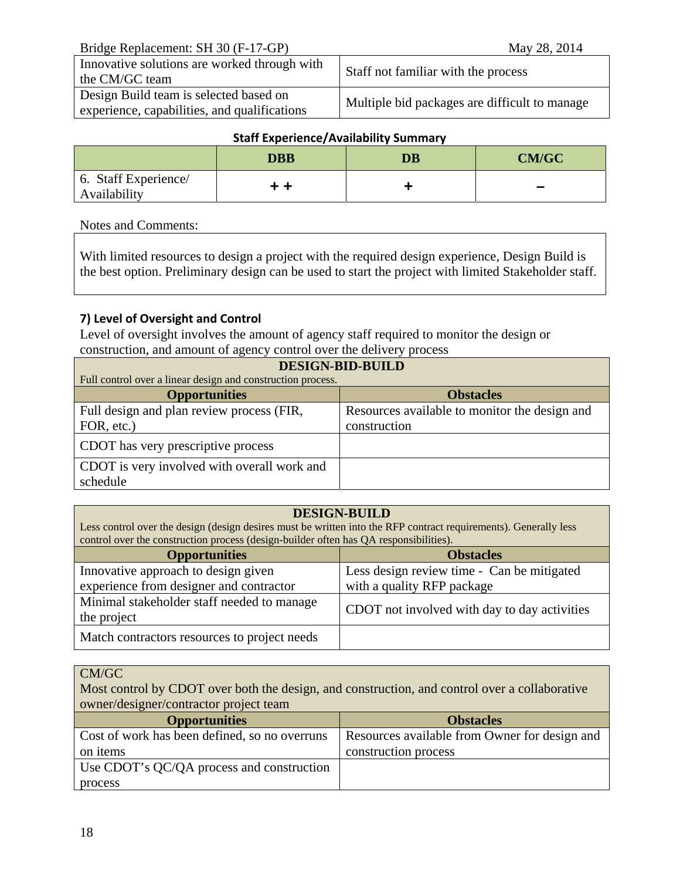Bridge Replacement: SH 30 (F-17-GP)May 28, 2014

| Innovative solutions are worked through with<br>the CM/GC team                         | Staff not familiar with the process           |
|----------------------------------------------------------------------------------------|-----------------------------------------------|
| Design Build team is selected based on<br>experience, capabilities, and qualifications | Multiple bid packages are difficult to manage |

## **Staff Experience/Availability Summary**

|                                      | <b>DBB</b> | $\overline{\mathbf{D}}\mathbf{B}$ | <b>CM/GC</b>             |
|--------------------------------------|------------|-----------------------------------|--------------------------|
| 6. Staff Experience/<br>Availability |            |                                   | $\overline{\phantom{a}}$ |

#### Notes and Comments:

With limited resources to design a project with the required design experience, Design Build is the best option. Preliminary design can be used to start the project with limited Stakeholder staff.

## **7) Level of Oversight and Control**

Level of oversight involves the amount of agency staff required to monitor the design or construction, and amount of agency control over the delivery process

| <b>DESIGN-BID-BUILD</b>                                     |                                               |  |
|-------------------------------------------------------------|-----------------------------------------------|--|
| Full control over a linear design and construction process. |                                               |  |
| <b>Opportunities</b>                                        | <b>Obstacles</b>                              |  |
| Full design and plan review process (FIR,                   | Resources available to monitor the design and |  |
| FOR, etc.)                                                  | construction                                  |  |
| CDOT has very prescriptive process                          |                                               |  |
| CDOT is very involved with overall work and                 |                                               |  |
| schedule                                                    |                                               |  |

## **DESIGN-BUILD**

Less control over the design (design desires must be written into the RFP contract requirements). Generally less control over the construction process (design-builder often has QA responsibilities).

| <b>Opportunities</b>                         | <b>Obstacles</b>                             |
|----------------------------------------------|----------------------------------------------|
| Innovative approach to design given          | Less design review time - Can be mitigated   |
| experience from designer and contractor      | with a quality RFP package                   |
| Minimal stakeholder staff needed to manage   | CDOT not involved with day to day activities |
| the project                                  |                                              |
| Match contractors resources to project needs |                                              |

#### CM/GC

Most control by CDOT over both the design, and construction, and control over a collaborative owner/designer/contractor project team

| <b>Opportunities</b>                          | <b>Obstacles</b>                              |
|-----------------------------------------------|-----------------------------------------------|
| Cost of work has been defined, so no overruns | Resources available from Owner for design and |
| on items                                      | construction process                          |
| Use CDOT's QC/QA process and construction     |                                               |
| process                                       |                                               |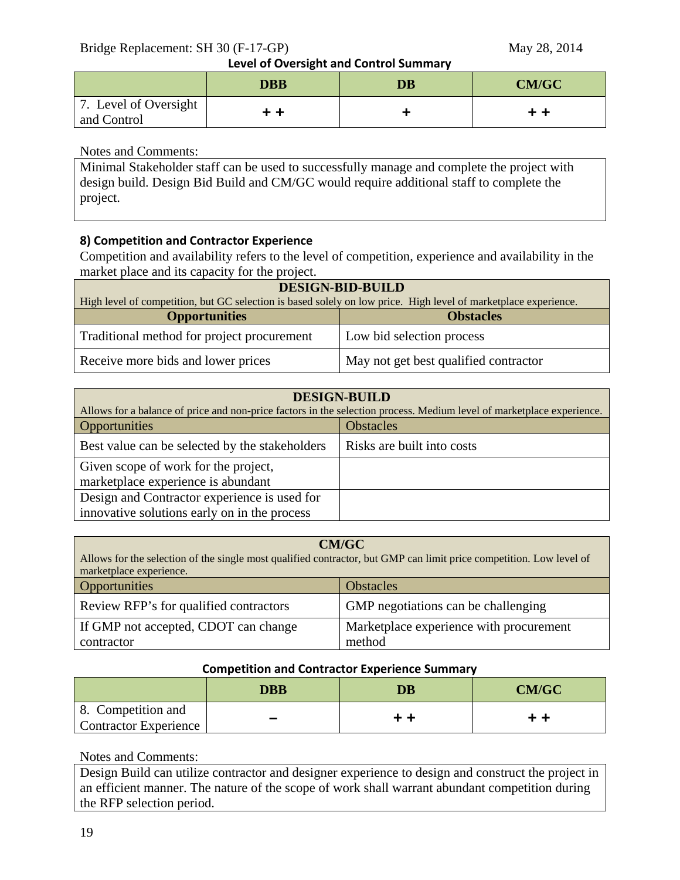Bridge Replacement: SH 30 (F-17-GP)May 28, 2014

**Level of Oversight and Control Summary**

|                                      | . .<br><b>DBB</b> | $\overline{\mathbf{D}}\mathbf{B}$ | <b>CM/GC</b> |
|--------------------------------------|-------------------|-----------------------------------|--------------|
| 7. Level of Oversight<br>and Control | . .               |                                   |              |

## Notes and Comments:

Minimal Stakeholder staff can be used to successfully manage and complete the project with design build. Design Bid Build and CM/GC would require additional staff to complete the project.

## **8) Competition and Contractor Experience**

Competition and availability refers to the level of competition, experience and availability in the market place and its capacity for the project.

| <b>DESIGN-BID-BUILD</b>                                                                                         |                                       |  |
|-----------------------------------------------------------------------------------------------------------------|---------------------------------------|--|
| High level of competition, but GC selection is based solely on low price. High level of marketplace experience. |                                       |  |
| <b>Opportunities</b><br><b>Obstacles</b>                                                                        |                                       |  |
| Traditional method for project procurement                                                                      | Low bid selection process             |  |
| Receive more bids and lower prices                                                                              | May not get best qualified contractor |  |

| <b>DESIGN-BUILD</b>                                                                                                   |                            |  |
|-----------------------------------------------------------------------------------------------------------------------|----------------------------|--|
| Allows for a balance of price and non-price factors in the selection process. Medium level of marketplace experience. |                            |  |
| <b>Opportunities</b>                                                                                                  | <b>Obstacles</b>           |  |
| Best value can be selected by the stakeholders                                                                        | Risks are built into costs |  |
| Given scope of work for the project,                                                                                  |                            |  |
| marketplace experience is abundant                                                                                    |                            |  |
| Design and Contractor experience is used for                                                                          |                            |  |
| innovative solutions early on in the process                                                                          |                            |  |

| <b>CM/GC</b><br>Allows for the selection of the single most qualified contractor, but GMP can limit price competition. Low level of<br>marketplace experience. |                                         |  |
|----------------------------------------------------------------------------------------------------------------------------------------------------------------|-----------------------------------------|--|
| Opportunities                                                                                                                                                  | <b>Obstacles</b>                        |  |
| Review RFP's for qualified contractors                                                                                                                         | GMP negotiations can be challenging     |  |
| If GMP not accepted, CDOT can change                                                                                                                           | Marketplace experience with procurement |  |
| contractor                                                                                                                                                     | method                                  |  |

#### **Competition and Contractor Experience Summary**

|                                                    | <b>DBB</b> | <b>DB</b> | <b>CM/GC</b> |
|----------------------------------------------------|------------|-----------|--------------|
| 8. Competition and<br><b>Contractor Experience</b> |            | . .       |              |

## Notes and Comments:

Design Build can utilize contractor and designer experience to design and construct the project in an efficient manner. The nature of the scope of work shall warrant abundant competition during the RFP selection period.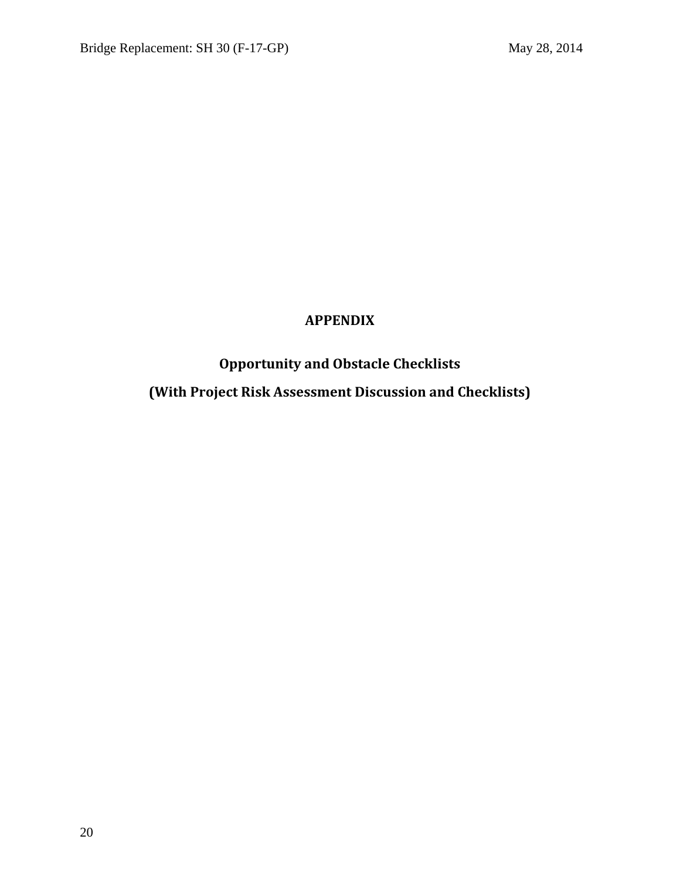# **APPENDIX**

# **Opportunity and Obstacle Checklists (With Project Risk Assessment Discussion and Checklists)**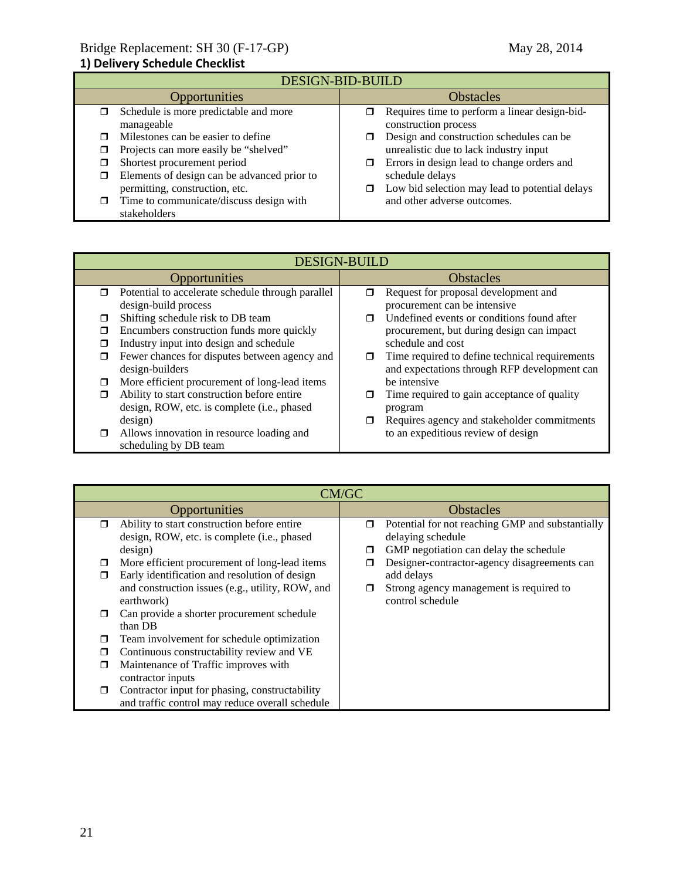#### **1) Delivery Schedule Checklist**

|               | <b>DESIGN-BID-BUILD</b>                                 |                  |                                                                       |  |
|---------------|---------------------------------------------------------|------------------|-----------------------------------------------------------------------|--|
| Opportunities |                                                         | <b>Obstacles</b> |                                                                       |  |
|               | Schedule is more predictable and more<br>manageable     |                  | Requires time to perform a linear design-bid-<br>construction process |  |
|               | Milestones can be easier to define                      |                  | Design and construction schedules can be                              |  |
|               | Projects can more easily be "shelved"                   |                  | unrealistic due to lack industry input                                |  |
|               | Shortest procurement period                             |                  | Errors in design lead to change orders and                            |  |
| □             | Elements of design can be advanced prior to             |                  | schedule delays                                                       |  |
|               | permitting, construction, etc.                          |                  | Low bid selection may lead to potential delays                        |  |
| п             | Time to communicate/discuss design with<br>stakeholders |                  | and other adverse outcomes.                                           |  |

|        | <b>DESIGN-BUILD</b>                               |   |                                                |  |
|--------|---------------------------------------------------|---|------------------------------------------------|--|
|        | <b>Opportunities</b>                              |   | <b>Obstacles</b>                               |  |
| $\Box$ | Potential to accelerate schedule through parallel | ⊓ | Request for proposal development and           |  |
|        | design-build process                              |   | procurement can be intensive                   |  |
|        | Shifting schedule risk to DB team                 | ⊓ | Undefined events or conditions found after     |  |
|        | Encumbers construction funds more quickly         |   | procurement, but during design can impact      |  |
|        | Industry input into design and schedule           |   | schedule and cost                              |  |
|        | Fewer chances for disputes between agency and     | σ | Time required to define technical requirements |  |
|        | design-builders                                   |   | and expectations through RFP development can   |  |
|        | More efficient procurement of long-lead items     |   | be intensive                                   |  |
|        | Ability to start construction before entire       |   | Time required to gain acceptance of quality    |  |
|        | design, ROW, etc. is complete (i.e., phased       |   | program                                        |  |
|        | design)                                           |   | Requires agency and stakeholder commitments    |  |
|        | Allows innovation in resource loading and         |   | to an expeditious review of design             |  |
|        | scheduling by DB team                             |   |                                                |  |

|        | CM/GC                                                                                                                                                         |             |                                                                                                                                                 |  |  |
|--------|---------------------------------------------------------------------------------------------------------------------------------------------------------------|-------------|-------------------------------------------------------------------------------------------------------------------------------------------------|--|--|
|        | Opportunities                                                                                                                                                 |             | <b>Obstacles</b>                                                                                                                                |  |  |
| $\Box$ | Ability to start construction before entire<br>design, ROW, etc. is complete (i.e., phased                                                                    | $\Box$      | Potential for not reaching GMP and substantially<br>delaying schedule                                                                           |  |  |
| □<br>⊓ | design)<br>More efficient procurement of long-lead items<br>Early identification and resolution of design<br>and construction issues (e.g., utility, ROW, and | □<br>$\Box$ | GMP negotiation can delay the schedule<br>Designer-contractor-agency disagreements can<br>add delays<br>Strong agency management is required to |  |  |
| π      | earthwork)<br>Can provide a shorter procurement schedule<br>than DB                                                                                           |             | control schedule                                                                                                                                |  |  |
| □      | Team involvement for schedule optimization                                                                                                                    |             |                                                                                                                                                 |  |  |
| П      | Continuous constructability review and VE                                                                                                                     |             |                                                                                                                                                 |  |  |
| ⊓      | Maintenance of Traffic improves with<br>contractor inputs                                                                                                     |             |                                                                                                                                                 |  |  |
| ⊓      | Contractor input for phasing, constructability<br>and traffic control may reduce overall schedule                                                             |             |                                                                                                                                                 |  |  |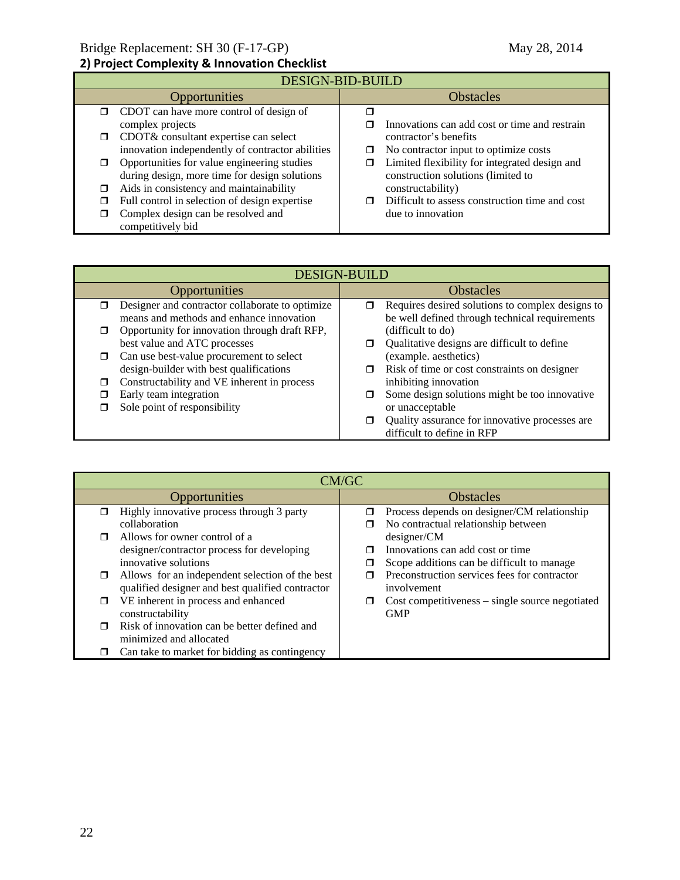#### **2) Project Complexity & Innovation Checklist**

| DESIGN-BID-BUILD                                                                               |                                                                                     |  |  |
|------------------------------------------------------------------------------------------------|-------------------------------------------------------------------------------------|--|--|
| <b>Opportunities</b>                                                                           | <b>Obstacles</b>                                                                    |  |  |
| CDOT can have more control of design of<br>⊓<br>complex projects                               | Innovations can add cost or time and restrain                                       |  |  |
| CDOT& consultant expertise can select<br>□<br>innovation independently of contractor abilities | contractor's benefits<br>No contractor input to optimize costs<br>□                 |  |  |
| Opportunities for value engineering studies<br>during design, more time for design solutions   | Limited flexibility for integrated design and<br>construction solutions (limited to |  |  |
| Aids in consistency and maintainability<br>⊓                                                   | constructability)                                                                   |  |  |
| Full control in selection of design expertise<br>⊓                                             | Difficult to assess construction time and cost<br>п                                 |  |  |
| Complex design can be resolved and<br>competitively bid                                        | due to innovation                                                                   |  |  |

| <b>DESIGN-BUILD</b> |                                                                                             |   |                                                                                                    |
|---------------------|---------------------------------------------------------------------------------------------|---|----------------------------------------------------------------------------------------------------|
| Opportunities       |                                                                                             |   | <b>Obstacles</b>                                                                                   |
| □                   | Designer and contractor collaborate to optimize<br>means and methods and enhance innovation | σ | Requires desired solutions to complex designs to<br>be well defined through technical requirements |
| ⊓                   | Opportunity for innovation through draft RFP,<br>best value and ATC processes               |   | (difficult to do)<br>Qualitative designs are difficult to define                                   |
| 0                   | Can use best-value procurement to select<br>design-builder with best qualifications         | □ | (example. aesthetics)<br>Risk of time or cost constraints on designer                              |
| П                   | Constructability and VE inherent in process                                                 |   | inhibiting innovation                                                                              |
|                     | Early team integration<br>Sole point of responsibility                                      |   | Some design solutions might be too innovative<br>or unacceptable                                   |
|                     |                                                                                             | σ | Quality assurance for innovative processes are<br>difficult to define in RFP                       |

|               | CM/GC                                            |                  |                                                   |  |
|---------------|--------------------------------------------------|------------------|---------------------------------------------------|--|
| Opportunities |                                                  | <b>Obstacles</b> |                                                   |  |
|               | Highly innovative process through 3 party        |                  | Process depends on designer/CM relationship       |  |
|               | collaboration                                    |                  | No contractual relationship between               |  |
|               | Allows for owner control of a                    |                  | designer/CM                                       |  |
|               | designer/contractor process for developing       |                  | Innovations can add cost or time                  |  |
|               | innovative solutions                             |                  | Scope additions can be difficult to manage.       |  |
| $\Box$        | Allows for an independent selection of the best  |                  | Preconstruction services fees for contractor      |  |
|               | qualified designer and best qualified contractor |                  | involvement                                       |  |
| □             | VE inherent in process and enhanced              |                  | $Cost$ competitiveness – single source negotiated |  |
|               | constructability                                 |                  | <b>GMP</b>                                        |  |
|               | Risk of innovation can be better defined and     |                  |                                                   |  |
|               | minimized and allocated                          |                  |                                                   |  |
|               | Can take to market for bidding as contingency    |                  |                                                   |  |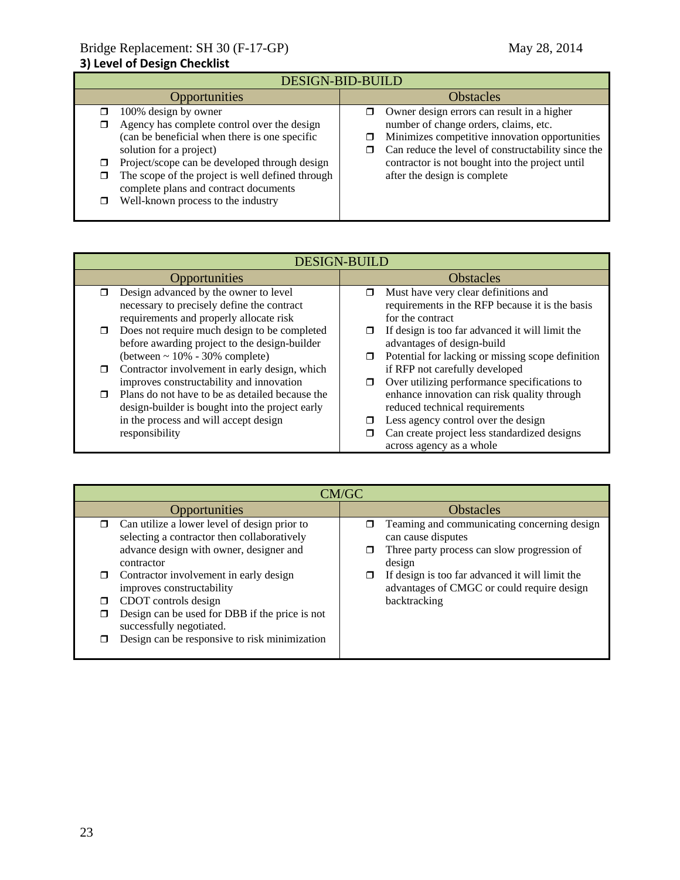| <b>DESIGN-BID-BUILD</b>                                                                                                                                                                                                                                                                                                             |                                                                                                                                                                                                                                                                                                |  |  |
|-------------------------------------------------------------------------------------------------------------------------------------------------------------------------------------------------------------------------------------------------------------------------------------------------------------------------------------|------------------------------------------------------------------------------------------------------------------------------------------------------------------------------------------------------------------------------------------------------------------------------------------------|--|--|
| <b>Opportunities</b>                                                                                                                                                                                                                                                                                                                | <b>Obstacles</b>                                                                                                                                                                                                                                                                               |  |  |
| 100% design by owner<br>Agency has complete control over the design<br>(can be beneficial when there is one specific<br>solution for a project)<br>Project/scope can be developed through design<br>The scope of the project is well defined through<br>complete plans and contract documents<br>Well-known process to the industry | Owner design errors can result in a higher<br>ο.<br>number of change orders, claims, etc.<br>Minimizes competitive innovation opportunities<br>◻<br>Can reduce the level of constructability since the<br>π<br>contractor is not bought into the project until<br>after the design is complete |  |  |

|   | <b>DESIGN-BUILD</b>                             |   |                                                   |  |
|---|-------------------------------------------------|---|---------------------------------------------------|--|
|   | Opportunities                                   |   | <b>Obstacles</b>                                  |  |
| ⊓ | Design advanced by the owner to level           | ⊓ | Must have very clear definitions and              |  |
|   | necessary to precisely define the contract      |   | requirements in the RFP because it is the basis   |  |
|   | requirements and properly allocate risk         |   | for the contract                                  |  |
|   | Does not require much design to be completed    |   | If design is too far advanced it will limit the   |  |
|   | before awarding project to the design-builder   |   | advantages of design-build                        |  |
|   | (between $\sim 10\%$ - 30% complete)            | □ | Potential for lacking or missing scope definition |  |
| ⊓ | Contractor involvement in early design, which   |   | if RFP not carefully developed                    |  |
|   | improves constructability and innovation        | σ | Over utilizing performance specifications to      |  |
|   | Plans do not have to be as detailed because the |   | enhance innovation can risk quality through       |  |
|   | design-builder is bought into the project early |   | reduced technical requirements                    |  |
|   | in the process and will accept design           |   | Less agency control over the design               |  |
|   | responsibility                                  |   | Can create project less standardized designs      |  |
|   |                                                 |   | across agency as a whole                          |  |

| CM/GC                                                                                                                                                                                                                                                                   |                                                                                                                                                                                                                                             |  |  |
|-------------------------------------------------------------------------------------------------------------------------------------------------------------------------------------------------------------------------------------------------------------------------|---------------------------------------------------------------------------------------------------------------------------------------------------------------------------------------------------------------------------------------------|--|--|
| <b>Opportunities</b>                                                                                                                                                                                                                                                    | <b>Obstacles</b>                                                                                                                                                                                                                            |  |  |
| Can utilize a lower level of design prior to<br>$\Box$<br>selecting a contractor then collaboratively<br>advance design with owner, designer and<br>contractor<br>Contractor involvement in early design<br>$\Box$<br>improves constructability<br>CDOT controls design | Teaming and communicating concerning design<br>can cause disputes<br>Three party process can slow progression of<br>design<br>If design is too far advanced it will limit the<br>advantages of CMGC or could require design<br>backtracking |  |  |
| Design can be used for DBB if the price is not<br>successfully negotiated.<br>Design can be responsive to risk minimization                                                                                                                                             |                                                                                                                                                                                                                                             |  |  |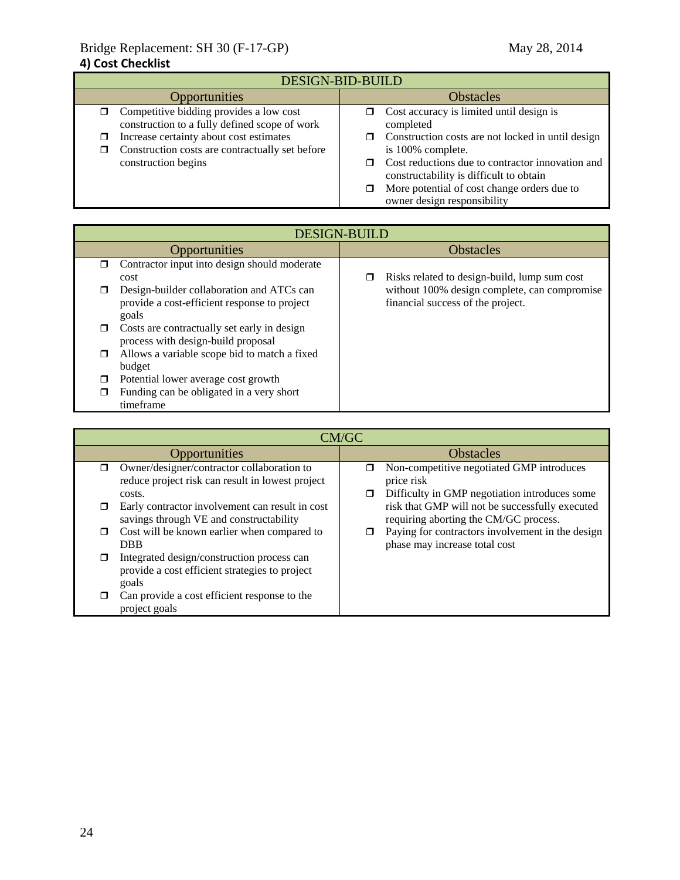| <b>DESIGN-BID-BUILD</b>                                                                       |                                                                                             |  |  |
|-----------------------------------------------------------------------------------------------|---------------------------------------------------------------------------------------------|--|--|
| <b>Opportunities</b>                                                                          | <b>Obstacles</b>                                                                            |  |  |
| Competitive bidding provides a low cost<br>σ<br>construction to a fully defined scope of work | Cost accuracy is limited until design is<br>□<br>completed                                  |  |  |
| Increase certainty about cost estimates                                                       | Construction costs are not locked in until design                                           |  |  |
| Construction costs are contractually set before                                               | is 100% complete.                                                                           |  |  |
| construction begins                                                                           | Cost reductions due to contractor innovation and<br>constructability is difficult to obtain |  |  |
|                                                                                               | More potential of cost change orders due to<br>owner design responsibility                  |  |  |

|        | <b>DESIGN-BUILD</b>                          |  |                                              |
|--------|----------------------------------------------|--|----------------------------------------------|
|        | Opportunities                                |  | <b>Obstacles</b>                             |
| σ      | Contractor input into design should moderate |  |                                              |
|        | cost                                         |  | Risks related to design-build, lump sum cost |
|        | Design-builder collaboration and ATCs can    |  | without 100% design complete, can compromise |
|        | provide a cost-efficient response to project |  | financial success of the project.            |
|        | goals                                        |  |                                              |
| $\Box$ | Costs are contractually set early in design  |  |                                              |
|        | process with design-build proposal           |  |                                              |
| $\Box$ | Allows a variable scope bid to match a fixed |  |                                              |
|        | budget                                       |  |                                              |
| ⊓      | Potential lower average cost growth          |  |                                              |
| ⊓      | Funding can be obligated in a very short     |  |                                              |
|        | timeframe                                    |  |                                              |

|        | CM/GC                                                                                                    |             |                                                                                                          |  |
|--------|----------------------------------------------------------------------------------------------------------|-------------|----------------------------------------------------------------------------------------------------------|--|
|        | Opportunities                                                                                            |             | <b>Obstacles</b>                                                                                         |  |
| σ.     | Owner/designer/contractor collaboration to<br>reduce project risk can result in lowest project<br>costs. | ⊓<br>$\Box$ | Non-competitive negotiated GMP introduces<br>price risk<br>Difficulty in GMP negotiation introduces some |  |
| □      | Early contractor involvement can result in cost<br>savings through VE and constructability               |             | risk that GMP will not be successfully executed<br>requiring aborting the CM/GC process.                 |  |
| $\Box$ | Cost will be known earlier when compared to<br><b>DBB</b>                                                |             | Paying for contractors involvement in the design<br>phase may increase total cost                        |  |
| π      | Integrated design/construction process can<br>provide a cost efficient strategies to project<br>goals    |             |                                                                                                          |  |
| ⊓      | Can provide a cost efficient response to the<br>project goals                                            |             |                                                                                                          |  |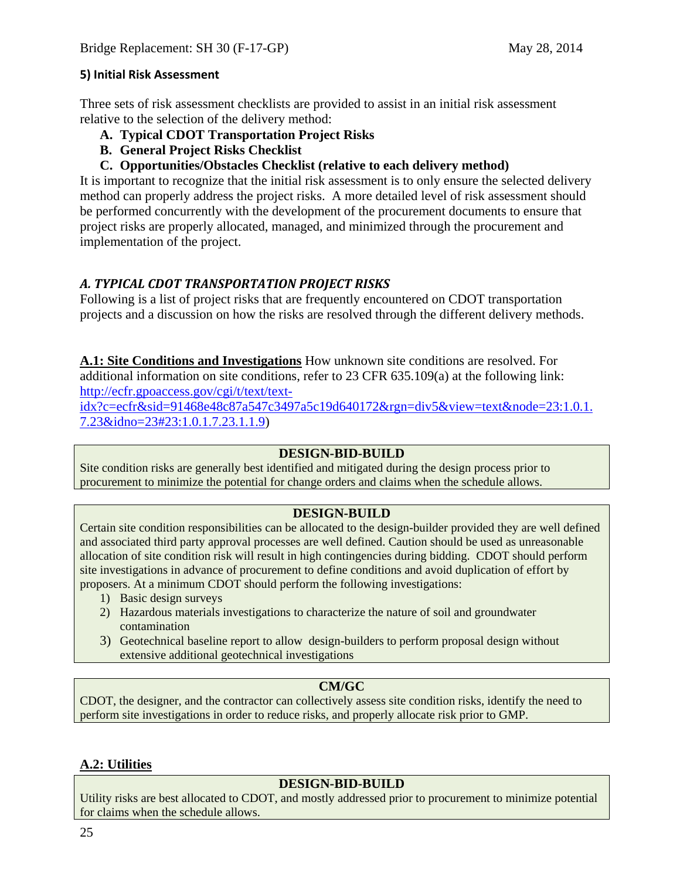## **5) Initial Risk Assessment**

Three sets of risk assessment checklists are provided to assist in an initial risk assessment relative to the selection of the delivery method:

- **A. Typical CDOT Transportation Project Risks**
- **B. General Project Risks Checklist**
- **C. Opportunities/Obstacles Checklist (relative to each delivery method)**

It is important to recognize that the initial risk assessment is to only ensure the selected delivery method can properly address the project risks. A more detailed level of risk assessment should be performed concurrently with the development of the procurement documents to ensure that project risks are properly allocated, managed, and minimized through the procurement and implementation of the project.

## *A. TYPICAL CDOT TRANSPORTATION PROJECT RISKS*

Following is a list of project risks that are frequently encountered on CDOT transportation projects and a discussion on how the risks are resolved through the different delivery methods.

**A.1: Site Conditions and Investigations** How unknown site conditions are resolved. For additional information on site conditions, refer to 23 CFR 635.109(a) at the following link: http://ecfr.gpoaccess.gov/cgi/t/text/text-

idx?c=ecfr&sid=91468e48c87a547c3497a5c19d640172&rgn=div5&view=text&node=23:1.0.1. 7.23&idno=23#23:1.0.1.7.23.1.1.9)

## **DESIGN-BID-BUILD**

Site condition risks are generally best identified and mitigated during the design process prior to procurement to minimize the potential for change orders and claims when the schedule allows.

## **DESIGN-BUILD**

Certain site condition responsibilities can be allocated to the design-builder provided they are well defined and associated third party approval processes are well defined. Caution should be used as unreasonable allocation of site condition risk will result in high contingencies during bidding. CDOT should perform site investigations in advance of procurement to define conditions and avoid duplication of effort by proposers. At a minimum CDOT should perform the following investigations:

- 1) Basic design surveys
- 2) Hazardous materials investigations to characterize the nature of soil and groundwater contamination
- 3) Geotechnical baseline report to allow design-builders to perform proposal design without extensive additional geotechnical investigations

## **CM/GC**

CDOT, the designer, and the contractor can collectively assess site condition risks, identify the need to perform site investigations in order to reduce risks, and properly allocate risk prior to GMP.

## **A.2: Utilities**

## **DESIGN-BID-BUILD**

Utility risks are best allocated to CDOT, and mostly addressed prior to procurement to minimize potential for claims when the schedule allows.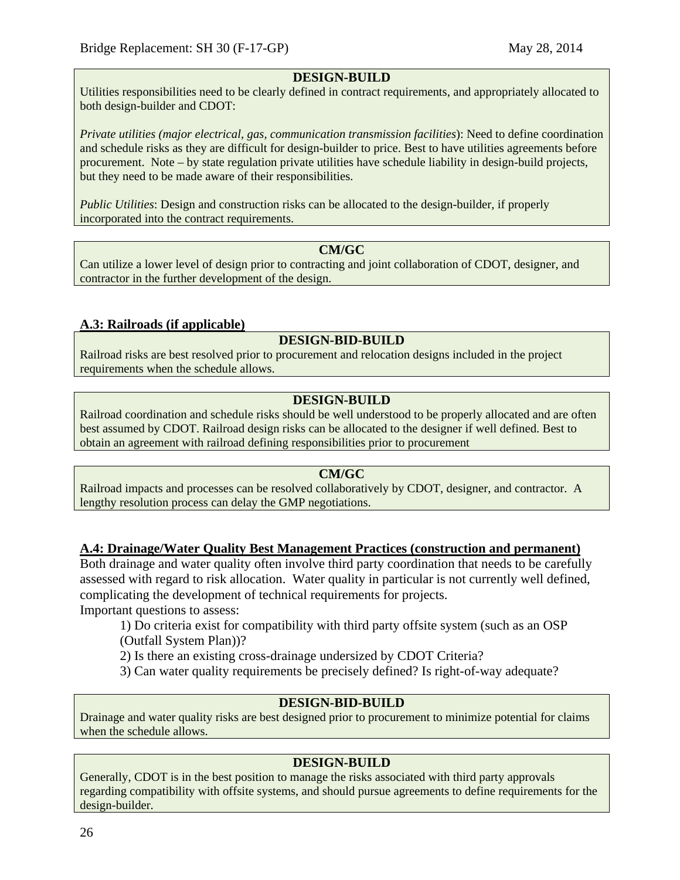#### **DESIGN-BUILD**

Utilities responsibilities need to be clearly defined in contract requirements, and appropriately allocated to both design-builder and CDOT:

*Private utilities (major electrical, gas, communication transmission facilities*): Need to define coordination and schedule risks as they are difficult for design-builder to price. Best to have utilities agreements before procurement. Note – by state regulation private utilities have schedule liability in design-build projects, but they need to be made aware of their responsibilities.

*Public Utilities*: Design and construction risks can be allocated to the design-builder, if properly incorporated into the contract requirements.

#### **CM/GC**

Can utilize a lower level of design prior to contracting and joint collaboration of CDOT, designer, and contractor in the further development of the design.

#### **A.3: Railroads (if applicable)**

#### **DESIGN-BID-BUILD**

Railroad risks are best resolved prior to procurement and relocation designs included in the project requirements when the schedule allows.

## **DESIGN-BUILD**

Railroad coordination and schedule risks should be well understood to be properly allocated and are often best assumed by CDOT. Railroad design risks can be allocated to the designer if well defined. Best to obtain an agreement with railroad defining responsibilities prior to procurement

#### **CM/GC**

Railroad impacts and processes can be resolved collaboratively by CDOT, designer, and contractor. A lengthy resolution process can delay the GMP negotiations.

#### **A.4: Drainage/Water Quality Best Management Practices (construction and permanent)**

Both drainage and water quality often involve third party coordination that needs to be carefully assessed with regard to risk allocation. Water quality in particular is not currently well defined, complicating the development of technical requirements for projects.

Important questions to assess:

1) Do criteria exist for compatibility with third party offsite system (such as an OSP (Outfall System Plan))?

2) Is there an existing cross-drainage undersized by CDOT Criteria?

3) Can water quality requirements be precisely defined? Is right-of-way adequate?

## **DESIGN-BID-BUILD**

Drainage and water quality risks are best designed prior to procurement to minimize potential for claims when the schedule allows.

#### **DESIGN-BUILD**

Generally, CDOT is in the best position to manage the risks associated with third party approvals regarding compatibility with offsite systems, and should pursue agreements to define requirements for the design-builder.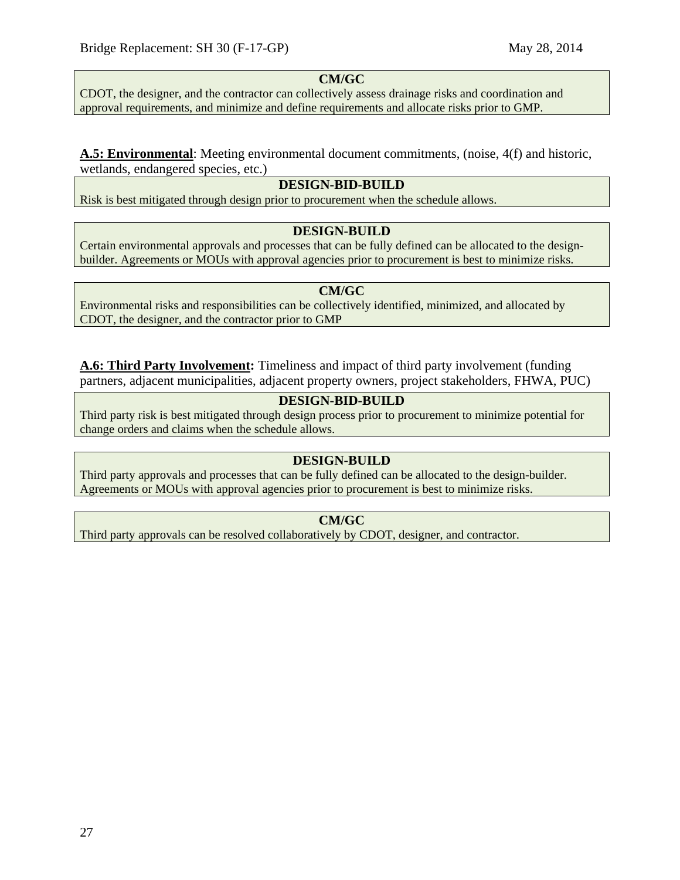## **CM/GC**

CDOT, the designer, and the contractor can collectively assess drainage risks and coordination and approval requirements, and minimize and define requirements and allocate risks prior to GMP.

#### **A.5: Environmental**: Meeting environmental document commitments, (noise, 4(f) and historic, wetlands, endangered species, etc.)

## **DESIGN-BID-BUILD**

Risk is best mitigated through design prior to procurement when the schedule allows.

#### **DESIGN-BUILD**

Certain environmental approvals and processes that can be fully defined can be allocated to the designbuilder. Agreements or MOUs with approval agencies prior to procurement is best to minimize risks.

#### **CM/GC**

Environmental risks and responsibilities can be collectively identified, minimized, and allocated by CDOT, the designer, and the contractor prior to GMP

**A.6: Third Party Involvement:** Timeliness and impact of third party involvement (funding partners, adjacent municipalities, adjacent property owners, project stakeholders, FHWA, PUC)

## **DESIGN-BID-BUILD**

Third party risk is best mitigated through design process prior to procurement to minimize potential for change orders and claims when the schedule allows.

## **DESIGN-BUILD**

Third party approvals and processes that can be fully defined can be allocated to the design-builder. Agreements or MOUs with approval agencies prior to procurement is best to minimize risks.

## **CM/GC**

Third party approvals can be resolved collaboratively by CDOT, designer, and contractor.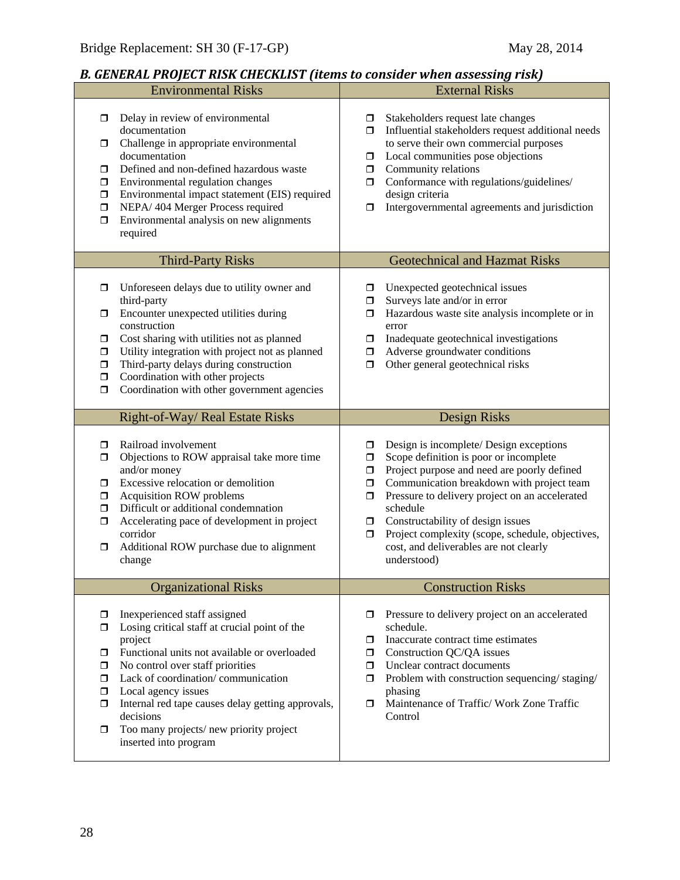# *B. GENERAL PROJECT RISK CHECKLIST (items to consider when assessing risk)*

| <b>Environmental Risks</b>                                                                                                                                                                                                                                                                                                                                                                                                                 | <b>External Risks</b>                                                                                                                                                                                                                                                                                                                                                                                                                 |
|--------------------------------------------------------------------------------------------------------------------------------------------------------------------------------------------------------------------------------------------------------------------------------------------------------------------------------------------------------------------------------------------------------------------------------------------|---------------------------------------------------------------------------------------------------------------------------------------------------------------------------------------------------------------------------------------------------------------------------------------------------------------------------------------------------------------------------------------------------------------------------------------|
| Delay in review of environmental<br>$\Box$<br>documentation<br>Challenge in appropriate environmental<br>$\Box$<br>documentation<br>Defined and non-defined hazardous waste<br>$\Box$<br>Environmental regulation changes<br>$\Box$<br>Environmental impact statement (EIS) required<br>$\Box$<br>NEPA/ 404 Merger Process required<br>$\Box$<br>Environmental analysis on new alignments<br>$\Box$<br>required                            | Stakeholders request late changes<br>$\Box$<br>Influential stakeholders request additional needs<br>ο.<br>to serve their own commercial purposes<br>Local communities pose objections<br>0<br>Community relations<br>0<br>Conformance with regulations/guidelines/<br>σ.<br>design criteria<br>Intergovernmental agreements and jurisdiction<br>□                                                                                     |
| <b>Third-Party Risks</b>                                                                                                                                                                                                                                                                                                                                                                                                                   | <b>Geotechnical and Hazmat Risks</b>                                                                                                                                                                                                                                                                                                                                                                                                  |
| Unforeseen delays due to utility owner and<br>□<br>third-party<br>Encounter unexpected utilities during<br>◘<br>construction<br>Cost sharing with utilities not as planned<br>$\Box$<br>Utility integration with project not as planned<br>$\Box$<br>Third-party delays during construction<br>$\Box$<br>Coordination with other projects<br>$\Box$<br>Coordination with other government agencies<br>$\Box$                               | Unexpected geotechnical issues<br>□<br>Surveys late and/or in error<br>◘<br>Hazardous waste site analysis incomplete or in<br>σ<br>error<br>Inadequate geotechnical investigations<br>$\Box$<br>Adverse groundwater conditions<br>Ο.<br>Other general geotechnical risks<br>$\Box$                                                                                                                                                    |
| Right-of-Way/ Real Estate Risks                                                                                                                                                                                                                                                                                                                                                                                                            | <b>Design Risks</b>                                                                                                                                                                                                                                                                                                                                                                                                                   |
| Railroad involvement<br>□<br>Objections to ROW appraisal take more time<br>$\Box$<br>and/or money<br>Excessive relocation or demolition<br>$\Box$<br><b>Acquisition ROW problems</b><br>$\Box$<br>Difficult or additional condemnation<br>$\Box$<br>Accelerating pace of development in project<br>$\Box$<br>corridor<br>Additional ROW purchase due to alignment<br>□<br>change                                                           | Design is incomplete/ Design exceptions<br>◘<br>Scope definition is poor or incomplete<br>□<br>Project purpose and need are poorly defined<br>0<br>Communication breakdown with project team<br>$\Box$<br>Pressure to delivery project on an accelerated<br>σ<br>schedule<br>Constructability of design issues<br>□<br>Project complexity (scope, schedule, objectives,<br>0<br>cost, and deliverables are not clearly<br>understood) |
| <b>Organizational Risks</b>                                                                                                                                                                                                                                                                                                                                                                                                                | <b>Construction Risks</b>                                                                                                                                                                                                                                                                                                                                                                                                             |
| Inexperienced staff assigned<br>$\Box$<br>Losing critical staff at crucial point of the<br>□<br>project<br>Functional units not available or overloaded<br>□<br>No control over staff priorities<br>σ<br>Lack of coordination/communication<br>$\Box$<br>Local agency issues<br>$\Box$<br>Internal red tape causes delay getting approvals,<br>$\Box$<br>decisions<br>Too many projects/new priority project<br>□<br>inserted into program | Pressure to delivery project on an accelerated<br>schedule.<br>Inaccurate contract time estimates<br>□<br>Construction QC/QA issues<br>0<br>Unclear contract documents<br>ο.<br>Problem with construction sequencing/staging/<br>$\Box$<br>phasing<br>Maintenance of Traffic/ Work Zone Traffic<br>σ.<br>Control                                                                                                                      |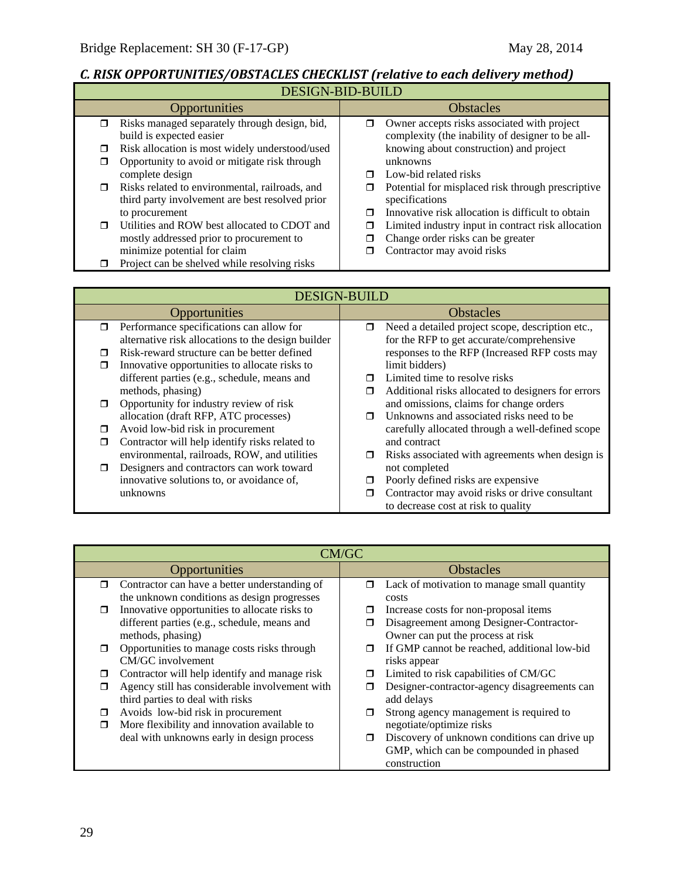# *C. RISK OPPORTUNITIES/OBSTACLES CHECKLIST (relative to each delivery method)*

|        | <b>DESIGN-BID-BUILD</b>                         |   |                                                    |  |  |
|--------|-------------------------------------------------|---|----------------------------------------------------|--|--|
|        | <b>Opportunities</b>                            |   | <b>Obstacles</b>                                   |  |  |
| $\Box$ | Risks managed separately through design, bid,   | π | Owner accepts risks associated with project        |  |  |
|        | build is expected easier                        |   | complexity (the inability of designer to be all-   |  |  |
| $\Box$ | Risk allocation is most widely understood/used  |   | knowing about construction) and project            |  |  |
| □      | Opportunity to avoid or mitigate risk through   |   | unknowns                                           |  |  |
|        | complete design                                 | ⊓ | Low-bid related risks                              |  |  |
| $\Box$ | Risks related to environmental, railroads, and  |   | Potential for misplaced risk through prescriptive  |  |  |
|        | third party involvement are best resolved prior |   | specifications                                     |  |  |
|        | to procurement                                  | ⊓ | Innovative risk allocation is difficult to obtain  |  |  |
| $\Box$ | Utilities and ROW best allocated to CDOT and    | □ | Limited industry input in contract risk allocation |  |  |
|        | mostly addressed prior to procurement to        |   | Change order risks can be greater                  |  |  |
|        | minimize potential for claim                    |   | Contractor may avoid risks                         |  |  |
|        | Project can be shelved while resolving risks    |   |                                                    |  |  |

|        | <b>DESIGN-BUILD</b>                                |        |                                                    |  |
|--------|----------------------------------------------------|--------|----------------------------------------------------|--|
|        | Opportunities                                      |        | <b>Obstacles</b>                                   |  |
| $\Box$ | Performance specifications can allow for           | $\Box$ | Need a detailed project scope, description etc.,   |  |
|        | alternative risk allocations to the design builder |        | for the RFP to get accurate/comprehensive          |  |
| ⊓      | Risk-reward structure can be better defined        |        | responses to the RFP (Increased RFP costs may      |  |
|        | Innovative opportunities to allocate risks to      |        | limit bidders)                                     |  |
|        | different parties (e.g., schedule, means and       |        | Limited time to resolve risks                      |  |
|        | methods, phasing)                                  | $\Box$ | Additional risks allocated to designers for errors |  |
|        | Opportunity for industry review of risk            |        | and omissions, claims for change orders            |  |
|        | allocation (draft RFP, ATC processes)              | $\Box$ | Unknowns and associated risks need to be.          |  |
| П      | Avoid low-bid risk in procurement                  |        | carefully allocated through a well-defined scope   |  |
| ⊓      | Contractor will help identify risks related to     |        | and contract                                       |  |
|        | environmental, railroads, ROW, and utilities       | $\Box$ | Risks associated with agreements when design is    |  |
| $\Box$ | Designers and contractors can work toward          |        | not completed                                      |  |
|        | innovative solutions to, or avoidance of,          |        | Poorly defined risks are expensive                 |  |
|        | unknowns                                           |        | Contractor may avoid risks or drive consultant     |  |
|        |                                                    |        | to decrease cost at risk to quality                |  |

|        | CM/GC                                          |        |                                              |  |  |
|--------|------------------------------------------------|--------|----------------------------------------------|--|--|
|        | Opportunities                                  |        | <b>Obstacles</b>                             |  |  |
| $\Box$ | Contractor can have a better understanding of  | σ      | Lack of motivation to manage small quantity  |  |  |
|        | the unknown conditions as design progresses    |        | costs                                        |  |  |
| □      | Innovative opportunities to allocate risks to  |        | Increase costs for non-proposal items        |  |  |
|        | different parties (e.g., schedule, means and   |        | Disagreement among Designer-Contractor-      |  |  |
|        | methods, phasing)                              |        | Owner can put the process at risk            |  |  |
| $\Box$ | Opportunities to manage costs risks through    | Π      | If GMP cannot be reached, additional low-bid |  |  |
|        | CM/GC involvement                              |        | risks appear                                 |  |  |
| □      | Contractor will help identify and manage risk  | □      | Limited to risk capabilities of CM/GC        |  |  |
| ⊓      | Agency still has considerable involvement with |        | Designer-contractor-agency disagreements can |  |  |
|        | third parties to deal with risks               |        | add delays                                   |  |  |
| ⊓      | Avoids low-bid risk in procurement             | π      | Strong agency management is required to      |  |  |
| ⊓      | More flexibility and innovation available to   |        | negotiate/optimize risks                     |  |  |
|        | deal with unknowns early in design process     | $\Box$ | Discovery of unknown conditions can drive up |  |  |
|        |                                                |        | GMP, which can be compounded in phased       |  |  |
|        |                                                |        | construction                                 |  |  |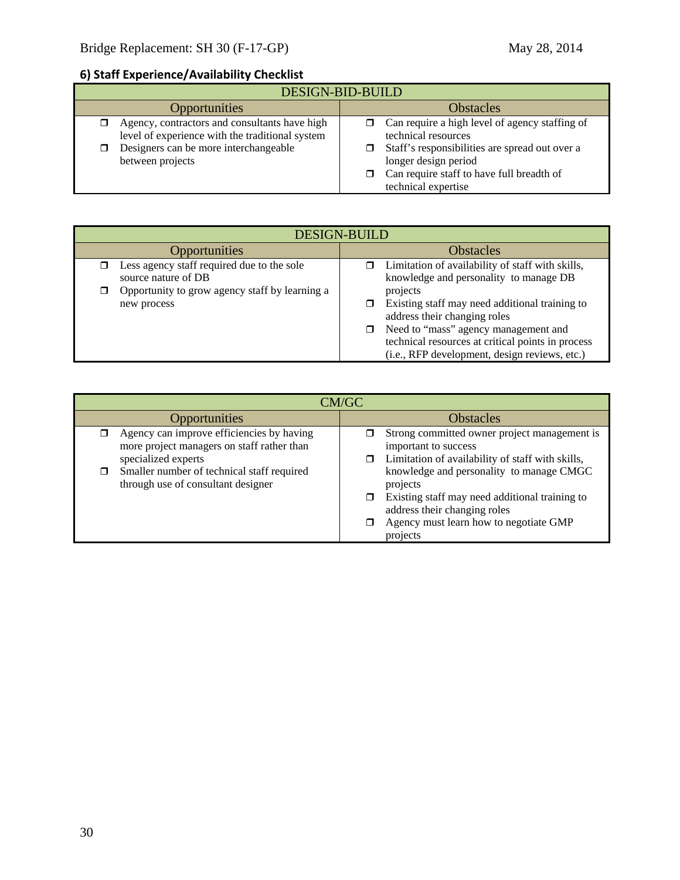# **6) Staff Experience/Availability Checklist**

| <b>DESIGN-BID-BUILD</b>                                                                                                                                       |                                                                                                                                                                                              |  |  |
|---------------------------------------------------------------------------------------------------------------------------------------------------------------|----------------------------------------------------------------------------------------------------------------------------------------------------------------------------------------------|--|--|
| <b>Opportunities</b>                                                                                                                                          | <b>Obstacles</b>                                                                                                                                                                             |  |  |
| Agency, contractors and consultants have high<br>level of experience with the traditional system<br>Designers can be more interchangeable<br>between projects | Can require a high level of agency staffing of<br>technical resources<br>Staff's responsibilities are spread out over a<br>longer design period<br>Can require staff to have full breadth of |  |  |
|                                                                                                                                                               | technical expertise                                                                                                                                                                          |  |  |

| <b>DESIGN-BUILD</b>                                                     |                                                                                                                                                                                                                                                    |  |  |
|-------------------------------------------------------------------------|----------------------------------------------------------------------------------------------------------------------------------------------------------------------------------------------------------------------------------------------------|--|--|
| <b>Opportunities</b>                                                    | <b>Obstacles</b>                                                                                                                                                                                                                                   |  |  |
| Less agency staff required due to the sole<br>π.<br>source nature of DB | Limitation of availability of staff with skills,<br>π.<br>knowledge and personality to manage DB                                                                                                                                                   |  |  |
| Opportunity to grow agency staff by learning a<br>◘<br>new process      | projects<br>Existing staff may need additional training to<br>address their changing roles<br>Need to "mass" agency management and<br>$\Box$<br>technical resources at critical points in process<br>(i.e., RFP development, design reviews, etc.) |  |  |

| CM/GC                                                                                                               |                                                                                                                                                                                              |  |  |
|---------------------------------------------------------------------------------------------------------------------|----------------------------------------------------------------------------------------------------------------------------------------------------------------------------------------------|--|--|
| <b>Opportunities</b>                                                                                                | <b>Obstacles</b>                                                                                                                                                                             |  |  |
| Agency can improve efficiencies by having<br>σ<br>more project managers on staff rather than<br>specialized experts | Strong committed owner project management is<br>important to success<br>Limitation of availability of staff with skills,                                                                     |  |  |
| Smaller number of technical staff required<br>□<br>through use of consultant designer                               | knowledge and personality to manage CMGC<br>projects<br>Existing staff may need additional training to<br>address their changing roles<br>Agency must learn how to negotiate GMP<br>projects |  |  |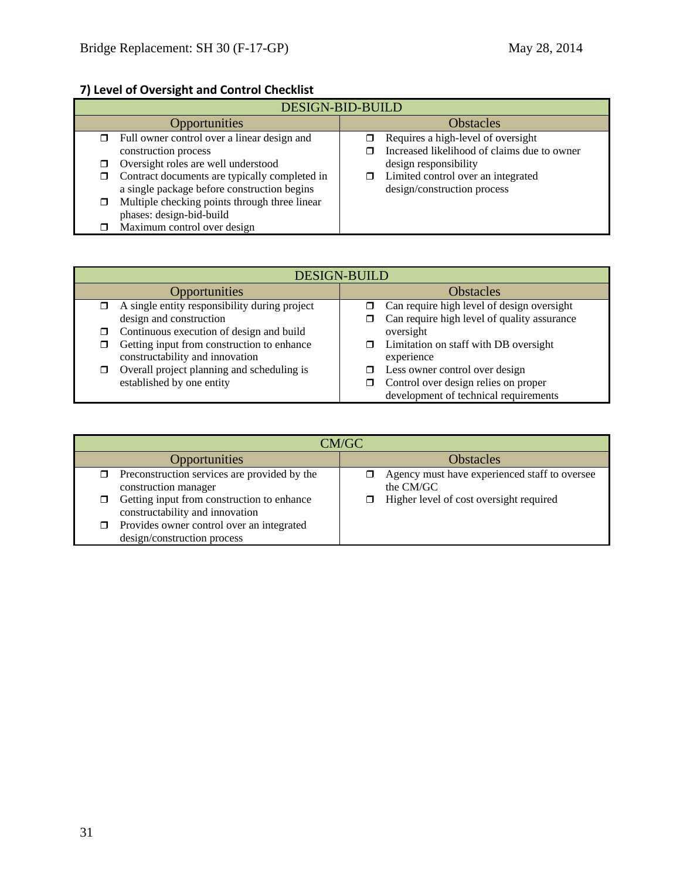# **7) Level of Oversight and Control Checklist**

| DESIGN-BID-BUILD |                                               |                  |                                             |  |
|------------------|-----------------------------------------------|------------------|---------------------------------------------|--|
|                  | <b>Opportunities</b>                          | <b>Obstacles</b> |                                             |  |
|                  | Full owner control over a linear design and   |                  | Requires a high-level of oversight          |  |
|                  | construction process                          |                  | Increased likelihood of claims due to owner |  |
|                  | Oversight roles are well understood           |                  | design responsibility                       |  |
|                  | Contract documents are typically completed in |                  | Limited control over an integrated          |  |
|                  | a single package before construction begins   |                  | design/construction process                 |  |
|                  | Multiple checking points through three linear |                  |                                             |  |
|                  | phases: design-bid-build                      |                  |                                             |  |
|                  | Maximum control over design                   |                  |                                             |  |

| <b>DESIGN-BUILD</b> |                                                                               |                  |                                                                               |
|---------------------|-------------------------------------------------------------------------------|------------------|-------------------------------------------------------------------------------|
|                     | <b>Opportunities</b>                                                          | <b>Obstacles</b> |                                                                               |
| $\Box$              | A single entity responsibility during project                                 |                  | Can require high level of design oversight                                    |
|                     | design and construction                                                       |                  | Can require high level of quality assurance                                   |
| σ.                  | Continuous execution of design and build                                      |                  | oversight                                                                     |
| ◻                   | Getting input from construction to enhance<br>constructability and innovation |                  | Limitation on staff with DB oversight<br>experience                           |
| σ                   | Overall project planning and scheduling is                                    |                  | Less owner control over design                                                |
|                     | established by one entity                                                     |                  | Control over design relies on proper<br>development of technical requirements |

| CM/GC                                                                              |                                                            |  |  |
|------------------------------------------------------------------------------------|------------------------------------------------------------|--|--|
| Opportunities                                                                      | <b>Obstacles</b>                                           |  |  |
| Preconstruction services are provided by the<br>construction manager               | Agency must have experienced staff to oversee<br>the CM/GC |  |  |
| Getting input from construction to enhance<br>□<br>constructability and innovation | Higher level of cost oversight required                    |  |  |
| Provides owner control over an integrated<br>design/construction process           |                                                            |  |  |